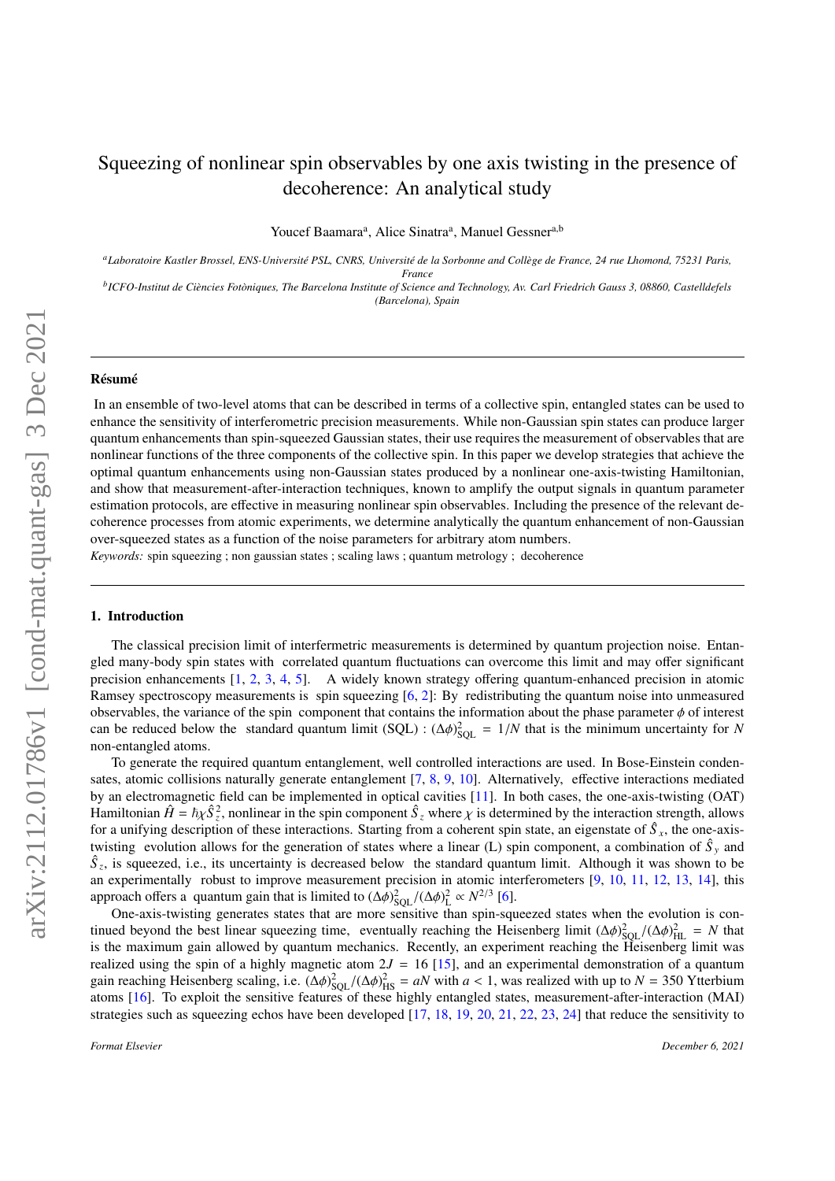# Squeezing of nonlinear spin observables by one axis twisting in the presence of decoherence: An analytical study

Youcef Baamara<sup>a</sup>, Alice Sinatra<sup>a</sup>, Manuel Gessner<sup>a,b</sup>

*<sup>a</sup>Laboratoire Kastler Brossel, ENS-Université PSL, CNRS, Université de la Sorbonne and Collège de France, 24 rue Lhomond, 75231 Paris, France*

*b ICFO-Institut de Ciències Fotòniques, The Barcelona Institute of Science and Technology, Av. Carl Friedrich Gauss 3, 08860, Castelldefels (Barcelona), Spain*

#### Résumé

In an ensemble of two-level atoms that can be described in terms of a collective spin, entangled states can be used to enhance the sensitivity of interferometric precision measurements. While non-Gaussian spin states can produce larger quantum enhancements than spin-squeezed Gaussian states, their use requires the measurement of observables that are nonlinear functions of the three components of the collective spin. In this paper we develop strategies that achieve the optimal quantum enhancements using non-Gaussian states produced by a nonlinear one-axis-twisting Hamiltonian, and show that measurement-after-interaction techniques, known to amplify the output signals in quantum parameter estimation protocols, are effective in measuring nonlinear spin observables. Including the presence of the relevant decoherence processes from atomic experiments, we determine analytically the quantum enhancement of non-Gaussian over-squeezed states as a function of the noise parameters for arbitrary atom numbers.

*Keywords:* spin squeezing ; non gaussian states ; scaling laws ; quantum metrology ; decoherence

#### 1. Introduction

The classical precision limit of interfermetric measurements is determined by quantum projection noise. Entangled many-body spin states with correlated quantum fluctuations can overcome this limit and may offer significant precision enhancements [\[1,](#page-21-0) [2,](#page-21-1) [3,](#page-21-2) [4,](#page-21-3) [5\]](#page-21-4). A widely known strategy offering quantum-enhanced precision in atomic Ramsey spectroscopy measurements is spin squeezing [\[6,](#page-21-5) [2\]](#page-21-1): By redistributing the quantum noise into unmeasured observables, the variance of the spin component that contains the information about the phase parameter  $\phi$  of interest can be reduced below the standard quantum limit (SQL) :  $(\Delta \phi)_{SQL}^2 = 1/N$  that is the minimum uncertainty for *N* non-entangled atoms non-entangled atoms.

To generate the required quantum entanglement, well controlled interactions are used. In Bose-Einstein condensates, atomic collisions naturally generate entanglement [\[7,](#page-21-6) [8,](#page-21-7) [9,](#page-21-8) [10\]](#page-21-9). Alternatively, effective interactions mediated by an electromagnetic field can be implemented in optical cavities [\[11\]](#page-21-10). In both cases, the one-axis-twisting (OAT) Hamiltonian  $\hat{H} = \hbar \chi \hat{S}_z^2$ , nonlinear in the spin component  $\hat{S}_z$  where  $\chi$  is determined by the interaction strength, allows for a unifying description of these interactions. Starting from a coherent spin stat for a unifying description of these interactions. Starting from a coherent spin state, an eigenstate of *S*ˆ *x*, the one-axistwisting evolution allows for the generation of states where a linear (L) spin component, a combination of  $\hat{S}_y$  and  $\hat{S}_z$ , is squeezed, i.e., its uncertainty is decreased below the standard quantum limit. Although it was shown to be an experimentally robust to improve measurement precision in atomic interferometers [\[9,](#page-21-8) [10,](#page-21-9) [11,](#page-21-10) [12,](#page-21-11) [13,](#page-21-12) [14\]](#page-21-13), this approach offers a quantum gain that is limited to  $(Δφ)_{SQL}^2/(Δφ)_{L}^2 \propto N^{2/3}$  [\[6\]](#page-21-5).<br>Cube-axis-twisting generates states that are more sensitive than spin-squ

One-axis-twisting generates states that are more sensitive than spin-squeezed states when the evolution is continued beyond the best linear squeezing time, eventually reaching the Heisenberg limit  $(\Delta \phi)_{\text{SQL}}^2/(\Delta \phi)_{\text{HL}}^2 = N$  that is the maximum gain allowed by quantum mechanics. Recently, an experiment reaching the Heisenberg is the maximum gain allowed by quantum mechanics. Recently, an experiment reaching the Heisenberg limit was realized using the spin of a highly magnetic atom  $2J = 16$  [\[15\]](#page-21-14), and an experimental demonstration of a quantum gain reaching Heisenberg scaling, i.e.  $(\Delta \phi)_{\text{SQL}}^2/(\Delta \phi)_{\text{HS}}^2 = aN$  with  $a < 1$ , was realized with up to  $N = 350$  Ytterbium<br>atoms [16]. To exploit the sensitive features of these bigbly entangled states, measurement-a atoms [\[16\]](#page-21-15). To exploit the sensitive features of these highly entangled states, measurement-after-interaction (MAI) strategies such as squeezing echos have been developed  $[17, 18, 19, 20, 21, 22, 23, 24]$  $[17, 18, 19, 20, 21, 22, 23, 24]$  $[17, 18, 19, 20, 21, 22, 23, 24]$  $[17, 18, 19, 20, 21, 22, 23, 24]$  $[17, 18, 19, 20, 21, 22, 23, 24]$  $[17, 18, 19, 20, 21, 22, 23, 24]$  $[17, 18, 19, 20, 21, 22, 23, 24]$  $[17, 18, 19, 20, 21, 22, 23, 24]$  $[17, 18, 19, 20, 21, 22, 23, 24]$  $[17, 18, 19, 20, 21, 22, 23, 24]$  $[17, 18, 19, 20, 21, 22, 23, 24]$  $[17, 18, 19, 20, 21, 22, 23, 24]$  $[17, 18, 19, 20, 21, 22, 23, 24]$  $[17, 18, 19, 20, 21, 22, 23, 24]$  $[17, 18, 19, 20, 21, 22, 23, 24]$  that reduce the sensitivity to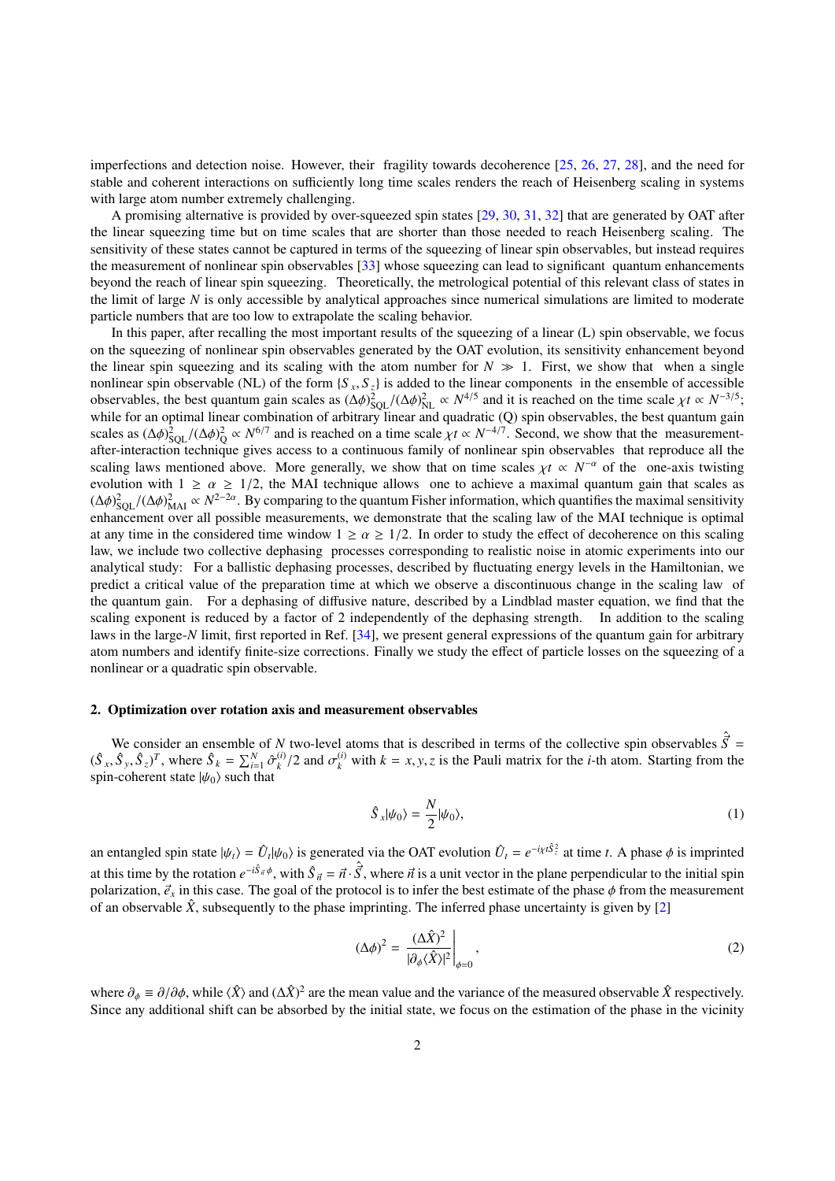imperfections and detection noise. However, their fragility towards decoherence [\[25,](#page-22-7) [26,](#page-22-8) [27,](#page-22-9) [28\]](#page-22-10), and the need for stable and coherent interactions on sufficiently long time scales renders the reach of Heisenberg scaling in systems with large atom number extremely challenging.

A promising alternative is provided by over-squeezed spin states [\[29,](#page-22-11) [30,](#page-22-12) [31,](#page-22-13) [32\]](#page-22-14) that are generated by OAT after the linear squeezing time but on time scales that are shorter than those needed to reach Heisenberg scaling. The sensitivity of these states cannot be captured in terms of the squeezing of linear spin observables, but instead requires the measurement of nonlinear spin observables [\[33\]](#page-22-15) whose squeezing can lead to significant quantum enhancements beyond the reach of linear spin squeezing. Theoretically, the metrological potential of this relevant class of states in the limit of large *N* is only accessible by analytical approaches since numerical simulations are limited to moderate particle numbers that are too low to extrapolate the scaling behavior.

In this paper, after recalling the most important results of the squeezing of a linear (L) spin observable, we focus on the squeezing of nonlinear spin observables generated by the OAT evolution, its sensitivity enhancement beyond the linear spin squeezing and its scaling with the atom number for  $N \gg 1$ . First, we show that when a single nonlinear spin observable (NL) of the form  $\{S_x, S_z\}$  is added to the linear components in the ensemble of accessible<br>observables the best quantum gain scales as  $(A\phi)^2 = ((A\phi)^2 \propto N^{4/5}$  and it is reached on the time scal observables, the best quantum gain scales as  $(\Delta \phi)_{\text{SQL}}^2 / (\Delta \phi)_{\text{NL}}^2 \propto N^{4/5}$  and it is reached on the time scale  $\chi t \propto N^{-3/5}$ ;<br>while for an optimal linear combination of arbitrary linear and quadratic (O) spin ob while for an optimal linear combination of arbitrary linear and quadratic (Q) spin observables, the best quantum gain scales as  $(\Delta \phi)_{\text{SQL}}^2 / (\Delta \phi)_Q^2 \propto N^{6/7}$  and is reached on a time scale  $\chi t \propto N^{-4/7}$ . Second, we show that the measurement-<br>after-interaction technique gives access to a continuous family of nonlinear spin observable after-interaction technique gives access to a continuous family of nonlinear spin observables that reproduce all the scaling laws mentioned above. More generally, we show that on time scales  $\chi t \propto N^{-\alpha}$  of the one-axis twisting evolution with  $1 > \alpha > 1/2$  the MAI technique allows, one to achieve a maximal quantum gain that scales as evolution with  $1 \ge \alpha \ge 1/2$ , the MAI technique allows one to achieve a maximal quantum gain that scales as  $(\Delta \phi)_{\text{SQL}}^2 / (\Delta \phi)_{\text{MAI}}^2 \propto N^{2-2\alpha}$ . By comparing to the quantum Fisher information, which quantifies the maximal sensitivity enhancement over all possible measurements, we demonstrate that the scaling law of the MAI technique is optimal at any time in the considered time window  $1 \ge \alpha \ge 1/2$ . In order to study the effect of decoherence on this scaling law, we include two collective dephasing processes corresponding to realistic noise in atomic experiments into our analytical study: For a ballistic dephasing processes, described by fluctuating energy levels in the Hamiltonian, we predict a critical value of the preparation time at which we observe a discontinuous change in the scaling law of the quantum gain. For a dephasing of diffusive nature, described by a Lindblad master equation, we find that the scaling exponent is reduced by a factor of 2 independently of the dephasing strength. In addition to the scaling laws in the large-*N* limit, first reported in Ref. [\[34\]](#page-22-16), we present general expressions of the quantum gain for arbitrary atom numbers and identify finite-size corrections. Finally we study the effect of particle losses on the squeezing of a nonlinear or a quadratic spin observable.

#### <span id="page-1-2"></span>2. Optimization over rotation axis and measurement observables

We consider an ensemble of *N* two-level atoms that is described in terms of the collective spin observables  $\hat{S} = \hat{S} \times T$  where  $\hat{S} = \sum_{i=1}^{N} \hat{S}^{(i)}(2 \text{ and } -\hat{S}^{(i)})$  with *b* such a jet the Pauli metric for the  $(\hat{S}_x, \hat{S}_y, \hat{S}_z)^T$ , where  $\hat{S}_k = \sum_{i=1}^N \hat{\sigma}_k^{(i)}$ <br>spin-coherent state  $\psi_{(k)}$  such that  $\int_{k}^{(i)}$  /2 and  $\sigma_k^{(i)}$  with  $k = x, y, z$  is the Pauli matrix for the *i*-th atom. Starting from the spin-coherent state  $|\psi_0\rangle$  such that

<span id="page-1-1"></span>
$$
\hat{S}_x|\psi_0\rangle = \frac{N}{2}|\psi_0\rangle,\tag{1}
$$

an entangled spin state  $|\psi_t\rangle = \hat{U}_t |\psi_0\rangle$  is generated via the OAT evolution  $\hat{U}_t = e^{-i\chi t S_z^2}$  at time *t*. A phase  $\phi$  is imprinted at this time by the rotation  $e^{-i\hat{S}_{\vec{n}}\phi}$ , with  $\hat{S}_{\vec{n}} = \vec{n} \cdot \hat{S}$ , where  $\vec{n}$  is a unit vector in the plane perpendicular to the initial spin polarization  $\vec{\sigma}$  in this case. The goal of the protocol is to polarization,  $\vec{e}_x$  in this case. The goal of the protocol is to infer the best estimate of the phase  $\phi$  from the measurement of an observable  $\hat{X}$ , subsequently to the phase imprinting. The inferred phase uncertainty is given by [\[2\]](#page-21-1)

<span id="page-1-0"></span>
$$
(\Delta \phi)^2 = \left. \frac{(\Delta \hat{X})^2}{|\partial_{\phi} \langle \hat{X} \rangle|^2} \right|_{\phi=0},\tag{2}
$$

where  $\partial_{\phi} \equiv \partial/\partial \phi$ , while  $\langle \hat{X} \rangle$  and  $(\Delta \hat{X})^2$  are the mean value and the variance of the measured observable  $\hat{X}$  respectively. Since any additional shift can be absorbed by the initial state, we focus on the estimation of the phase in the vicinity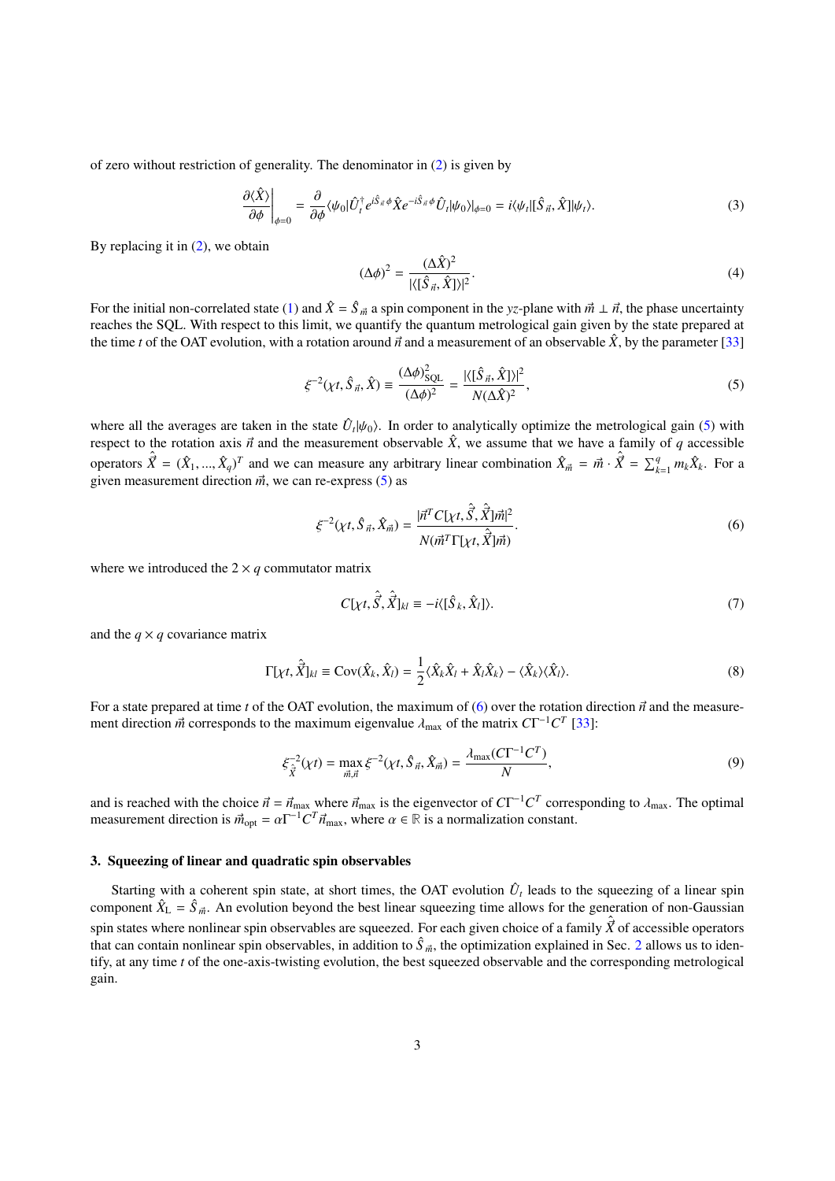of zero without restriction of generality. The denominator in [\(2\)](#page-1-0) is given by

$$
\left. \frac{\partial \langle \hat{X} \rangle}{\partial \phi} \right|_{\phi=0} = \left. \frac{\partial}{\partial \phi} \langle \psi_0 | \hat{U}_t^{\dagger} e^{i\hat{S}_{\vec{n}}} \phi \hat{X} e^{-i\hat{S}_{\vec{n}}} \phi \hat{U}_t | \psi_0 \rangle |_{\phi=0} = i \langle \psi_t | [\hat{S}_{\vec{n}}, \hat{X}] | \psi_t \rangle. \tag{3}
$$

By replacing it in  $(2)$ , we obtain

<span id="page-2-0"></span>
$$
(\Delta \phi)^2 = \frac{(\Delta \hat{X})^2}{|\langle [\hat{S}_{\vec{n}}, \hat{X}] \rangle|^2}.
$$
\n(4)

For the initial non-correlated state [\(1\)](#page-1-1) and  $\hat{X} = \hat{S}_{\vec{m}}$  a spin component in the *yz*-plane with  $\vec{m} \perp \vec{n}$ , the phase uncertainty reaches the SOL. With respect to this limit, we quantify the quantum metrologic reaches the SQL. With respect to this limit, we quantify the quantum metrological gain given by the state prepared at the time *t* of the OAT evolution, with a rotation around  $\vec{n}$  and a measurement of an observable  $\hat{X}$ , by the parameter [\[33\]](#page-22-15)

$$
\xi^{-2}(\chi t, \hat{S}_{\vec{n}}, \hat{X}) \equiv \frac{(\Delta \phi)_{\text{SQL}}^2}{(\Delta \phi)^2} = \frac{|\langle [\hat{S}_{\vec{n}}, \hat{X}] \rangle|^2}{N(\Delta \hat{X})^2},\tag{5}
$$

where all the averages are taken in the state  $\hat{U}_t|\psi_0\rangle$ . In order to analytically optimize the metrological gain [\(5\)](#page-2-0) with respect to the rotation axis  $\vec{v}$  and the measurement observable  $\hat{Y}$ , we assume that we respect to the rotation axis  $\vec{n}$  and the measurement observable  $\hat{X}$ , we assume that we have a family of *q* accessible operators  $\hat{\vec{X}} = (\hat{X}_1, ..., \hat{X}_q)^T$  and we can measure any arbitrary linear combination  $\hat{X}_{\vec{m}} = \vec{m} \cdot \hat{\vec{X}} = \sum_{k=1}^q m_k \hat{X}_k$ . For a given measurement direction  $\vec{m}$  we can re-express (5) as given measurement direction  $\vec{m}$ , we can re-express [\(5\)](#page-2-0) as

$$
\xi^{-2}(\chi t, \hat{S}_{\vec{n}}, \hat{X}_{\vec{m}}) = \frac{|\vec{n}^T C[\chi t, \hat{\vec{S}}, \hat{\vec{X}}] \vec{m}|^2}{N(\vec{m}^T \Gamma[\chi t, \hat{\vec{X}}] \vec{m})}.
$$
\n(6)

where we introduced the  $2 \times q$  commutator matrix

<span id="page-2-4"></span><span id="page-2-2"></span><span id="page-2-1"></span>
$$
C[\chi t, \hat{S}, \hat{X}]_{kl} \equiv -i\langle [\hat{S}_k, \hat{X}_l] \rangle. \tag{7}
$$

and the  $q \times q$  covariance matrix

<span id="page-2-3"></span>
$$
\Gamma[\chi t, \hat{\vec{X}}]_{kl} \equiv \text{Cov}(\hat{X}_k, \hat{X}_l) = \frac{1}{2} \langle \hat{X}_k \hat{X}_l + \hat{X}_l \hat{X}_k \rangle - \langle \hat{X}_k \rangle \langle \hat{X}_l \rangle.
$$
 (8)

For a state prepared at time *t* of the OAT evolution, the maximum of [\(6\)](#page-2-1) over the rotation direction  $\vec{n}$  and the measurement direction  $\vec{m}$  corresponds to the maximum eigenvalue  $\lambda_{\text{max}}$  of the matrix  $CT^{-1}C^{T}$  [\[33\]](#page-22-15):

$$
\xi_{\hat{X}}^{-2}(\chi t) = \max_{\vec{m},\vec{n}} \xi^{-2}(\chi t, \hat{S}_{\vec{n}}, \hat{X}_{\vec{m}}) = \frac{\lambda_{\max}(C\Gamma^{-1}C^{T})}{N},
$$
\n(9)

and is reached with the choice  $\vec{n} = \vec{n}_{\text{max}}$  where  $\vec{n}_{\text{max}}$  is the eigenvector of  $CT^{-1}C^T$  corresponding to  $\lambda_{\text{max}}$ . The optimal<br>measurement direction is  $\vec{m} = \alpha \Gamma^{-1}C^T \vec{n}$  where  $\alpha \in \mathbb{R}$  is a normalizat measurement direction is  $\vec{m}_{opt} = \alpha \Gamma^{-1} C^T \vec{n}_{max}$ , where  $\alpha \in \mathbb{R}$  is a normalization constant.

## 3. Squeezing of linear and quadratic spin observables

Starting with a coherent spin state, at short times, the OAT evolution  $\hat{U}_t$  leads to the squeezing of a linear spin component  $\hat{X}_{\text{L}} = \hat{S}_{\vec{m}}$ . An evolution beyond the best linear squeezing time allows for the generation of non-Gaussian spin states where nonlinear spin observables are squeezed. For each given choice of a family  $\hat{\vec{X}}$  of accessible operators that can contain nonlinear spin observables, in addition to  $\hat{S}_{\vec{m}}$ , the optimization explained in Sec. [2](#page-1-2) allows us to iden-<br>tify at any time tof the one axis twisting avalation, the best squeezed observable and the tify, at any time *t* of the one-axis-twisting evolution, the best squeezed observable and the corresponding metrological gain.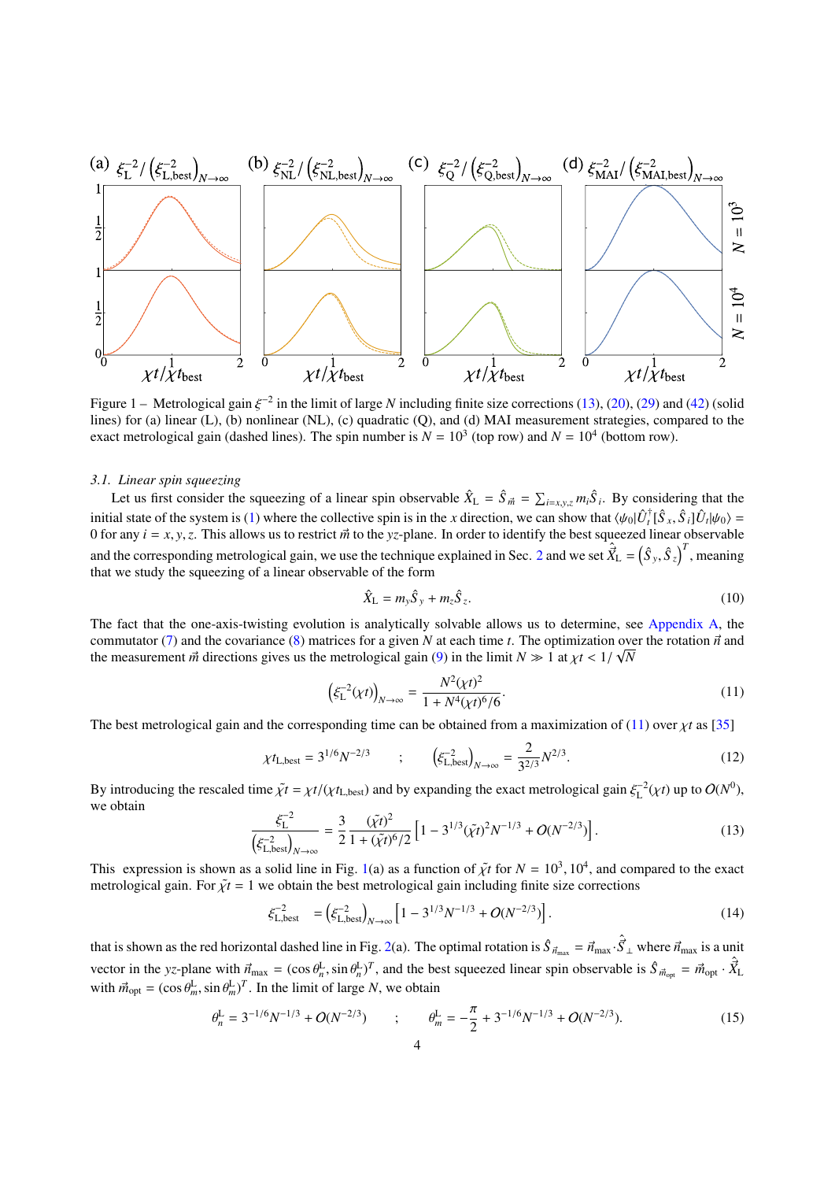<span id="page-3-2"></span>

Figure 1 – Metrological gain  $\xi^{-2}$  in the limit of large *N* including finite size corrections [\(13\)](#page-3-0), [\(20\)](#page-4-0), [\(29\)](#page-6-0) and [\(42\)](#page-7-0) (solid<br>lines) for (a) linear (I), (b) nonlinear (NI), (c) quadratic (Q), and (d) MAI measurement s lines) for (a) linear (L), (b) nonlinear (NL), (c) quadratic (Q), and (d) MAI measurement strategies, compared to the exact metrological gain (dashed lines). The spin number is  $N = 10^3$  (top row) and  $N = 10^4$  (bottom row).

#### *3.1. Linear spin squeezing*

Let us first consider the squeezing of a linear spin observable  $\hat{X}_L = \hat{S}_{\vec{m}} = \sum_{i=x,y,z} m_i \hat{S}_i$ . By considering that the initial state of the system is [\(1\)](#page-1-1) where the collective spin is in the *x* direction, we can show that  $\langle \psi_0 | \hat{U}_t^{\dagger} [\hat{S}_x, \hat{S}_i] \hat{U}_t | \psi_0 \rangle = 0$  for any  $i = x, y, z$ . This allows us to restrict  $\vec{w}$  to the vz-pla 0 for any  $i = x, y, z$ . This allows us to restrict  $\vec{m}$  to the *yz*-plane. In order to identify the best squeezed linear observable and the corresponding metrological gain, we use the technique explained in Sec. [2](#page-1-2) and we set  $\hat{X}_{\text{L}} = (\hat{S}_{y}, \hat{S}_{z})^{T}$ , meaning that we study the squeezing of a linear observable of the form that we study the squeezing of a linear observable of the form

<span id="page-3-1"></span>
$$
\hat{X}_{\text{L}} = m_{\text{y}} \hat{S}_{\text{y}} + m_{z} \hat{S}_{z}.
$$
\n(10)

The fact that the one-axis-twisting evolution is analytically solvable allows us to determine, see [Appendix A,](#page-16-0) the commutator [\(7\)](#page-2-2) and the covariance [\(8\)](#page-2-3) matrices for a given *N* at each time *t*. The optimization over the rotation  $\vec{n}$  and the measurement  $\vec{n}$  directions gives us the metrological gain (9) in the limit  $N \gg 1$  at the measurement  $\vec{m}$  directions gives us the metrological gain [\(9\)](#page-2-4) in the limit  $N \gg 1$  at  $\chi t < 1/\sqrt{N}$ 

$$
\left(\xi_{\rm L}^{-2}(\chi t)\right)_{N \to \infty} = \frac{N^2(\chi t)^2}{1 + N^4(\chi t)^6/6}.\tag{11}
$$

The best metrological gain and the corresponding time can be obtained from a maximization of [\(11\)](#page-3-1) over  $\chi t$  as [\[35\]](#page-22-17)

$$
\chi t_{\text{L,best}} = 3^{1/6} N^{-2/3} \qquad ; \qquad \left( \xi_{\text{L,best}}^{-2} \right)_{N \to \infty} = \frac{2}{3^{2/3}} N^{2/3} . \tag{12}
$$

<span id="page-3-0"></span>By introducing the rescaled time  $\tilde{\chi}t = \chi t/(\chi t_{\text{L,best}})$  and by expanding the exact metrological gain  $\xi_{\text{L}}^{-2}(\chi t)$  up to  $O(N^0)$ , we obtain

$$
\frac{\xi_L^{-2}}{\left(\xi_{\text{L},\text{best}}^{-2}\right)_{N\to\infty}} = \frac{3}{2} \frac{(\tilde{\chi}t)^2}{1 + (\tilde{\chi}t)^6/2} \left[1 - 3^{1/3}(\tilde{\chi}t)^2 N^{-1/3} + O(N^{-2/3})\right].\tag{13}
$$

This expression is shown as a solid line in Fig. [1\(](#page-3-2)a) as a function of  $\tilde{\chi}t$  for  $N = 10^3$ ,  $10^4$ , and compared to the exact metrological gain. For  $\tilde{\chi}t = 1$  we obtain the best metrological gain including finite s metrological gain. For  $\tilde{\chi}t = 1$  we obtain the best metrological gain including finite size corrections

$$
\xi_{\text{L},\text{best}}^{-2} = \left(\xi_{\text{L},\text{best}}^{-2}\right)_{N \to \infty} \left[1 - 3^{1/3} N^{-1/3} + O(N^{-2/3})\right].\tag{14}
$$

that is shown as the red horizontal dashed line in Fig. [2\(](#page-5-0)a). The optimal rotation is  $\hat{S}_{\vec{n}_{max}} = \vec{n}_{max} \cdot \hat{S}_{\perp}$  where  $\vec{n}_{max}$  is a unit vector in the *yz*-plane with  $\vec{n}_{\text{max}} = (\cos \theta_n^{\text{L}}, \sin \theta_n^{\text{L}})^T$ , and the best squeezed linear spin observable is  $\hat{S}_{\vec{n}_{\text{opt}}} = \vec{n}_{\text{opt}} \cdot \hat{X}_{\text{L}}$ with  $\vec{m}_{opt} = (\cos \theta_m^{\text{L}}, \sin \theta_m^{\text{L}})^T$ . In the limit of large *N*, we obtain

$$
\theta_n^{\mathcal{L}} = 3^{-1/6} N^{-1/3} + O(N^{-2/3}) \qquad ; \qquad \theta_m^{\mathcal{L}} = -\frac{\pi}{2} + 3^{-1/6} N^{-1/3} + O(N^{-2/3}). \tag{15}
$$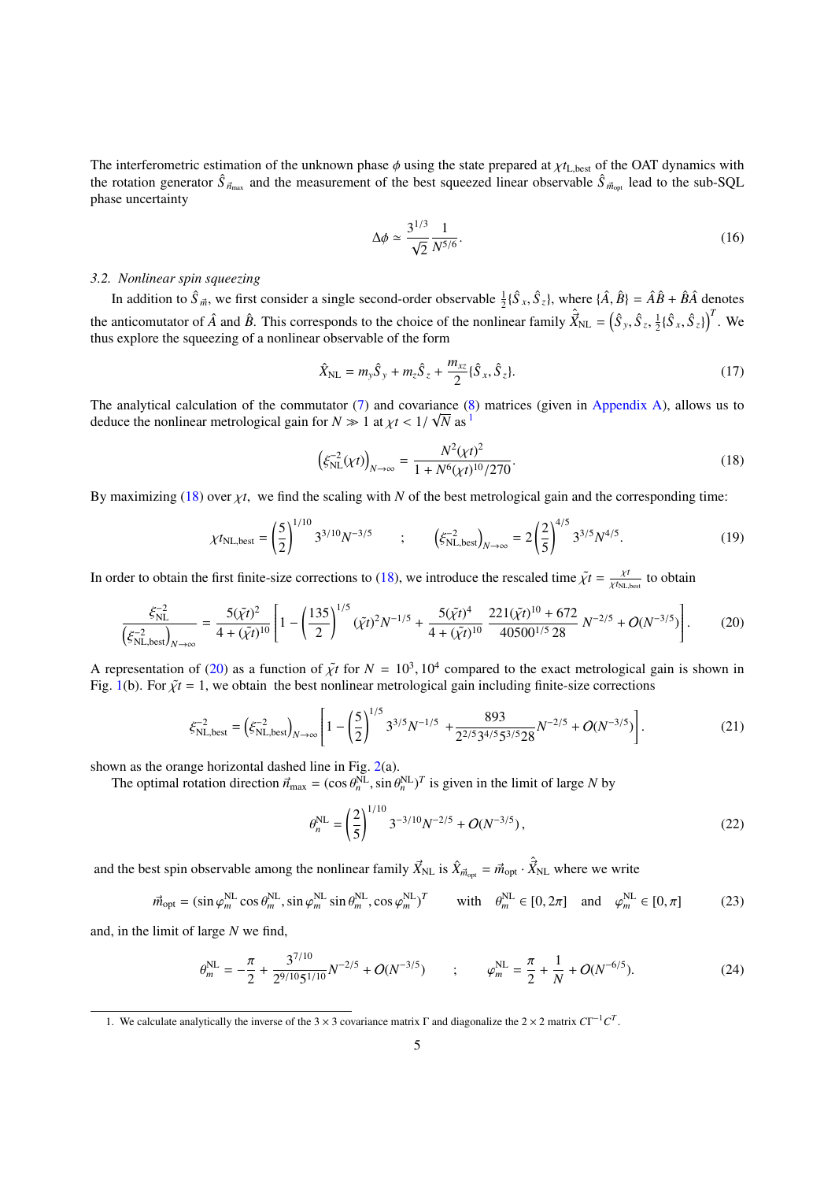The interferometric estimation of the unknown phase  $\phi$  using the state prepared at  $\chi t_{\rm L best}$  of the OAT dynamics with the rotation generator  $\hat{S}_{\vec{n}_{max}}$  and the measurement of the best squeezed linear observable  $\hat{S}_{\vec{n}_{opt}}$  lead to the sub-SQL phase uncertainty

<span id="page-4-4"></span><span id="page-4-3"></span>
$$
\Delta \phi \simeq \frac{3^{1/3}}{\sqrt{2}} \frac{1}{N^{5/6}}.\tag{16}
$$

#### *3.2. Nonlinear spin squeezing*

In addition to  $\hat{S}_{\vec{m}}$ , we first consider a single second-order observable  $\frac{1}{2} \{\hat{S}_x, \hat{S}_z\}$ , where  $\{\hat{A}, \hat{B}\} = \hat{A}\hat{B} + \hat{B}\hat{A}$  denotes the anticomutator of  $\hat{A}$  and  $\hat{B}$ . This corresponds to the choice of the nonlinear family  $\hat{X}_{NL} = (\hat{S}_y, \hat{S}_z, \hat{S}_z)$  $\frac{1}{2} \{\hat{S}_x, \hat{S}_z\}$ <sup>T</sup>. We thus explore the squeezing of a nonlinear observable of the form

$$
\hat{X}_{\rm NL} = m_y \hat{S}_y + m_z \hat{S}_z + \frac{m_{xz}}{2} {\hat{S}_x, \hat{S}_z}.
$$
\n(17)

The analytical calculation of the commutator  $(7)$  and covariance  $(8)$  matrices (given in [Appendix A\)](#page-16-0), allows us to deduce the nonlinear metrological gain for  $N \gg 1$  $N \gg 1$  at  $\chi t < 1/\sqrt{N}$  as <sup>1</sup>

<span id="page-4-5"></span><span id="page-4-2"></span><span id="page-4-0"></span>
$$
\left(\xi_{\rm NL}^{-2}(\chi t)\right)_{N \to \infty} = \frac{N^2(\chi t)^2}{1 + N^6(\chi t)^{10}/270}.
$$
\n(18)

By maximizing [\(18\)](#page-4-2) over  $\chi t$ , we find the scaling with *N* of the best metrological gain and the corresponding time:

$$
\chi t_{\text{NL},\text{best}} = \left(\frac{5}{2}\right)^{1/10} 3^{3/10} N^{-3/5} \qquad ; \qquad \left(\xi_{\text{NL},\text{best}}^{-2}\right)_{N \to \infty} = 2 \left(\frac{2}{5}\right)^{4/5} 3^{3/5} N^{4/5}.
$$
 (19)

In order to obtain the first finite-size corrections to [\(18\)](#page-4-2), we introduce the rescaled time  $\tilde{\chi}t = \frac{\chi t}{\chi f_{NL}}$  $\frac{\chi t}{\chi t_{\text{NL},\text{best}}}$  to obtain

$$
\frac{\xi_{\rm NL}^{-2}}{\left(\xi_{\rm NL, best}^{-2}\right)_{N \to \infty}} = \frac{5(\tilde{\chi}t)^2}{4 + (\tilde{\chi}t)^{10}} \left[1 - \left(\frac{135}{2}\right)^{1/5} (\tilde{\chi}t)^2 N^{-1/5} + \frac{5(\tilde{\chi}t)^4}{4 + (\tilde{\chi}t)^{10}} \frac{221(\tilde{\chi}t)^{10} + 672}{40500^{1/5} 28} N^{-2/5} + O(N^{-3/5})\right].
$$
 (20)

A representation of [\(20\)](#page-4-0) as a function of  $\tilde{\chi}t$  for  $N = 10^3$ ,  $10^4$  compared to the exact metrological gain is shown in<br>Fig. 1(b). For  $\tilde{\chi}t = 1$ , we obtain the best poplinear metrological gain including finite-si Fig. [1\(](#page-3-2)b). For  $\tilde{\chi}t = 1$ , we obtain the best nonlinear metrological gain including finite-size corrections

$$
\xi_{\text{NL},\text{best}}^{-2} = \left(\xi_{\text{NL},\text{best}}^{-2}\right)_{N \to \infty} \left[1 - \left(\frac{5}{2}\right)^{1/5} 3^{3/5} N^{-1/5} + \frac{893}{2^{2/5} 3^{4/5} 5^{3/5} 28} N^{-2/5} + O(N^{-3/5})\right].\tag{21}
$$

shown as the orange horizontal dashed line in Fig. [2\(](#page-5-0)a).

The optimal rotation direction  $\vec{n}_{max} = (\cos \theta_n^{NL}, \sin \theta_n^{NL})^T$  is given in the limit of large *N* by

$$
\theta_n^{\text{NL}} = \left(\frac{2}{5}\right)^{1/10} 3^{-3/10} N^{-2/5} + O(N^{-3/5}),\tag{22}
$$

and the best spin observable among the nonlinear family  $\vec{X}_{NL}$  is  $\hat{X}_{\vec{m}_{opt}} = \vec{m}_{opt} \cdot \hat{\vec{X}}_{NL}$  where we write

$$
\vec{m}_{\text{opt}} = (\sin \varphi_m^{\text{NL}} \cos \theta_m^{\text{NL}}, \sin \varphi_m^{\text{NL}} \sin \theta_m^{\text{NL}}, \cos \varphi_m^{\text{NL}})^T \qquad \text{with} \quad \theta_m^{\text{NL}} \in [0, 2\pi] \quad \text{and} \quad \varphi_m^{\text{NL}} \in [0, \pi] \tag{23}
$$

and, in the limit of large *N* we find,

$$
\theta_m^{\text{NL}} = -\frac{\pi}{2} + \frac{3^{7/10}}{2^{9/10}5^{1/10}} N^{-2/5} + O(N^{-3/5}) \qquad ; \qquad \varphi_m^{\text{NL}} = \frac{\pi}{2} + \frac{1}{N} + O(N^{-6/5}). \tag{24}
$$

<span id="page-4-1"></span><sup>1.</sup> We calculate analytically the inverse of the 3  $\times$  3 covariance matrix  $\Gamma$  and diagonalize the 2  $\times$  2 matrix  $CT^{-1}C^{T}$ .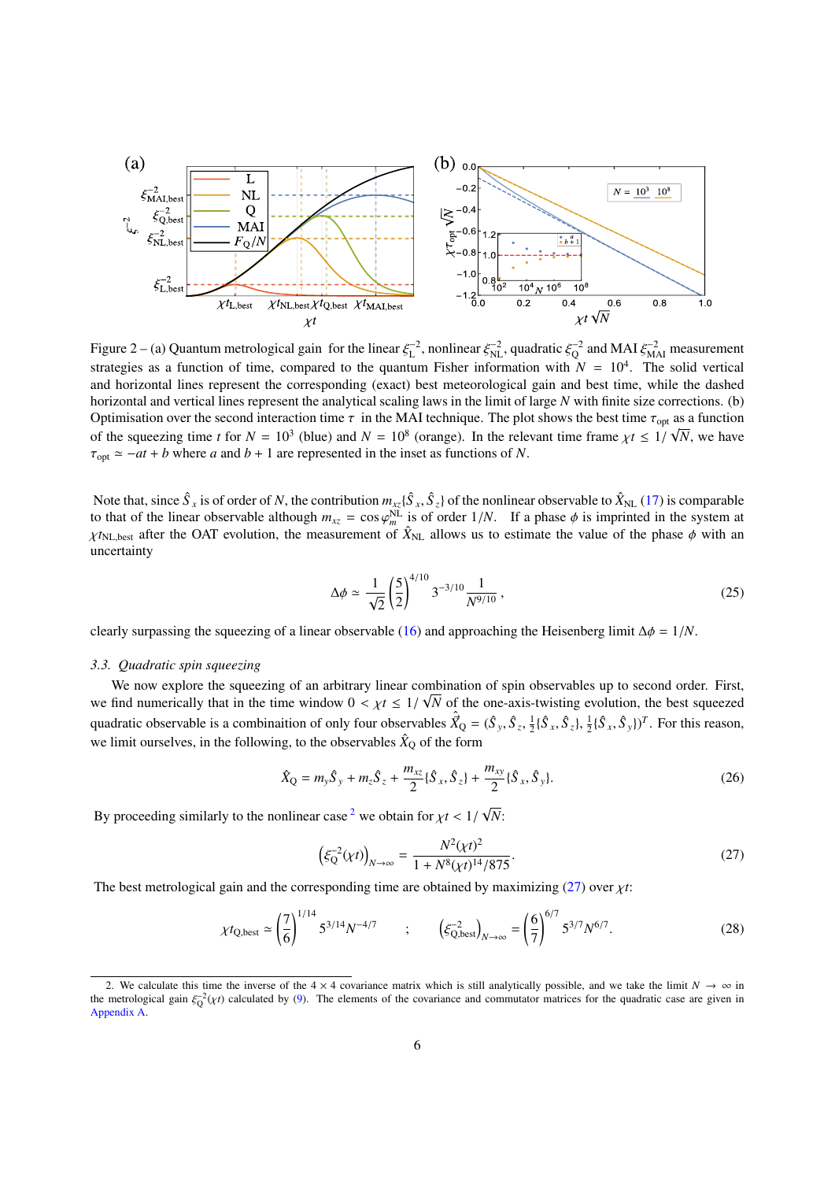<span id="page-5-0"></span>

Figure 2 – (a) Quantum metrological gain for the linear  $\xi_L^{-2}$ , nonlinear  $\xi_{\text{NL}}^{-2}$ , quadratic  $\xi_Q^{-2}$  and MAI  $\xi_{\text{ML}}^{-2}$  measurement strategies as a function of time, compared to the quantum Fisher information with  $N = 10<sup>4</sup>$ . The solid vertical and horizontal lines represent the corresponding (exact) best meteorological gain and best time, while the dashed horizontal and vertical lines represent the analytical scaling laws in the limit of large *N* with finite size corrections. (b) Optimisation over the second interaction time  $\tau$  in the MAI technique. The plot shows the best time  $\tau_{opt}$  as a function of the causaring time t for  $N = 10^3$  (blue) and  $N = 10^8$  (cropse). In the relayont time from of the squeezing time *t* for  $N = 10^3$  (blue) and  $N = 10^8$  (orange). In the relevant time frame  $\chi t \le 1/\sqrt{N}$ , we have  $\tau_{\text{opt}} \simeq -at + b$  where *a* and *b* + 1 are represented in the inset as functions of *N*.

Note that, since  $\hat{S}_x$  is of order of *N*, the contribution  $m_{xz} \{\hat{S}_x, \hat{S}_z\}$  of the nonlinear observable to  $\hat{X}_{NL}$  [\(17\)](#page-4-3) is comparable<br>to that of the linear observable although  $m = \cos \omega_{NL}$  is of order  $1/N$ . If to that of the linear observable although  $m_{xz} = \cos \varphi_m^N$  is of order  $1/N$ . If a phase  $\phi$  is imprinted in the system at  $v_{\text{av}}$ ,  $v_{\text{av}}$ , a structure of  $\hat{X}_{xx}$  allows us to estimate the value of the phase  $\phi$  wi  $\chi t_{NL,best}$  after the OAT evolution, the measurement of  $\hat{X}_{NL}$  allows us to estimate the value of the phase  $\phi$  with an uncertainty uncertainty

<span id="page-5-4"></span>
$$
\Delta \phi \simeq \frac{1}{\sqrt{2}} \left(\frac{5}{2}\right)^{4/10} 3^{-3/10} \frac{1}{N^{9/10}},\tag{25}
$$

clearly surpassing the squeezing of a linear observable [\(16\)](#page-4-4) and approaching the Heisenberg limit  $\Delta \phi = 1/N$ .

## *3.3. Quadratic spin squeezing*

We now explore the squeezing of an arbitrary linear combination of spin observables up to second order. First, we find numerically that in the time window  $0 < \chi t \leq 1/\sqrt{N}$  of the one-axis-twisting evolution, the best squeezed quadratic observable is a combination of only four observables  $\hat{X}_Q = (\hat{S}_y, \hat{S}_z, \hat{S}_z)$  $\frac{1}{2} {\{\hat{S}_x, \hat{S}_z\}, \frac{1}{2} {\{\hat{S}_x, \hat{S}_y\}}^T}$ . For this reason, we limit ourselves, in the following, to the observables  $\hat{X}_Q$  of the form

$$
\hat{X}_{Q} = m_{y}\hat{S}_{y} + m_{z}\hat{S}_{z} + \frac{m_{xz}}{2}\{\hat{S}_{x}, \hat{S}_{z}\} + \frac{m_{xy}}{2}\{\hat{S}_{x}, \hat{S}_{y}\}.
$$
\n(26)

<span id="page-5-2"></span>By proceeding similarly to the nonlinear case<sup>[2](#page-5-1)</sup> we obtain for  $\chi t < 1/\sqrt{2}$ *N*:

<span id="page-5-3"></span>
$$
\left(\xi_Q^{-2}(\chi t)\right)_{N \to \infty} = \frac{N^2(\chi t)^2}{1 + N^8(\chi t)^{14}/875}.\tag{27}
$$

The best metrological gain and the corresponding time are obtained by maximizing  $(27)$  over  $\chi t$ :

$$
\chi t_{\text{Q,best}} \simeq \left(\frac{7}{6}\right)^{1/14} 5^{3/14} N^{-4/7} \qquad ; \qquad \left(\xi_{\text{Q,best}}^{-2}\right)_{N \to \infty} = \left(\frac{6}{7}\right)^{6/7} 5^{3/7} N^{6/7}. \tag{28}
$$

<span id="page-5-1"></span><sup>2.</sup> We calculate this time the inverse of the  $4 \times 4$  covariance matrix which is still analytically possible, and we take the limit  $N \to \infty$  in the metrological gain  $\xi_Q^{-2}(\chi t)$  calculated by [\(9\)](#page-2-4). The elements of the covariance and commutator matrices for the quadratic case are given in<br>Appendix A [Appendix A.](#page-16-0)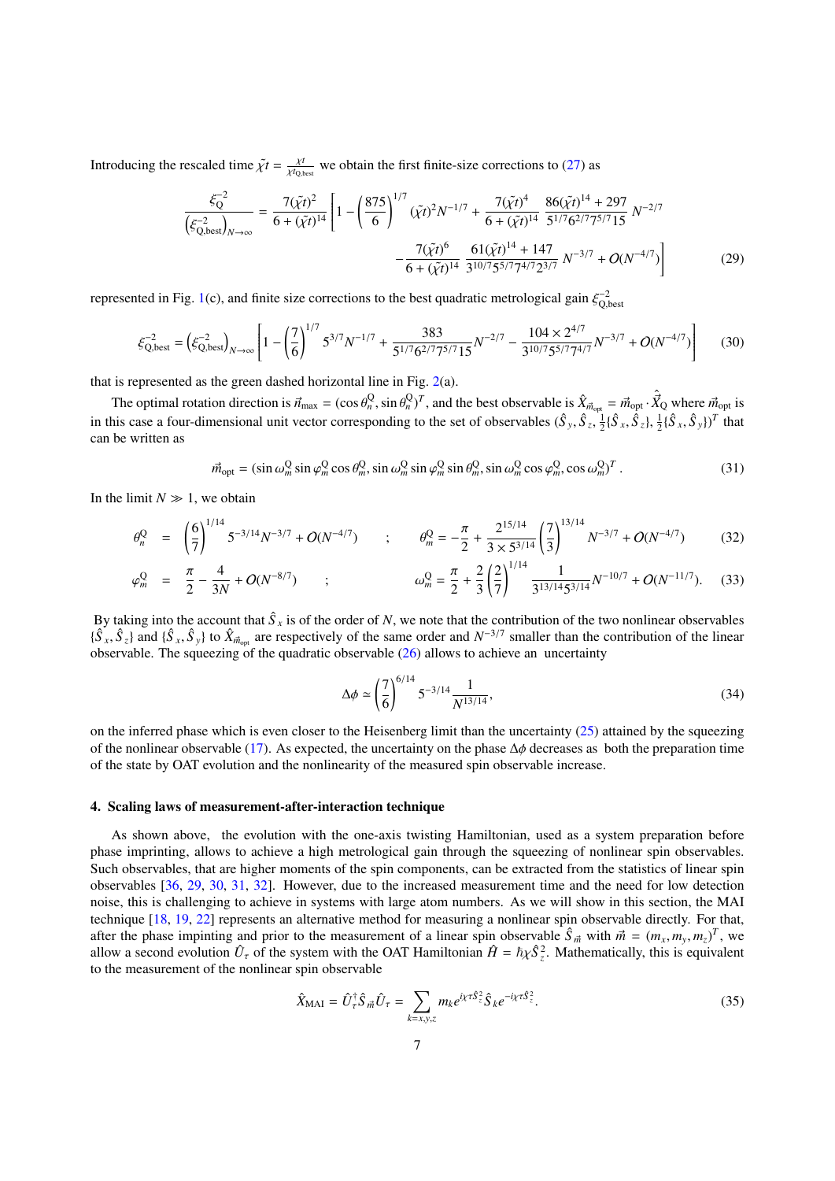Introducing the rescaled time  $\tilde{\chi}t = \frac{\chi t}{\chi t_{Q,t}}$  $\frac{\chi_t}{\chi t_{\text{Q,best}}}$  we obtain the first finite-size corrections to [\(27\)](#page-5-2) as

<span id="page-6-0"></span>
$$
\frac{\xi_{Q}^{-2}}{\left(\xi_{Q,\text{best}}^{-2}\right)_{N\to\infty}} = \frac{7(\tilde{\chi}t)^2}{6 + (\tilde{\chi}t)^{14}} \left[1 - \left(\frac{875}{6}\right)^{1/7} (\tilde{\chi}t)^2 N^{-1/7} + \frac{7(\tilde{\chi}t)^4}{6 + (\tilde{\chi}t)^{14}} \frac{86(\tilde{\chi}t)^{14} + 297}{5^{1/7}6^{2/7}7^{5/7}15} N^{-2/7} - \frac{7(\tilde{\chi}t)^6}{6 + (\tilde{\chi}t)^{14}} \frac{61(\tilde{\chi}t)^{14} + 147}{3^{10/7}5^{5/7}7^{4/7}2^{3/7}} N^{-3/7} + O(N^{-4/7})\right]
$$
(29)

represented in Fig. [1\(](#page-3-2)c), and finite size corrections to the best quadratic metrological gain  $\xi_{Q,\text{best}}^{-2}$ 

$$
\xi_{\text{Q,best}}^{-2} = \left(\xi_{\text{Q,best}}^{-2}\right)_{N \to \infty} \left[1 - \left(\frac{7}{6}\right)^{1/7} 5^{3/7} N^{-1/7} + \frac{383}{5^{1/7} 6^{2/7} 7^{5/7} 15} N^{-2/7} - \frac{104 \times 2^{4/7}}{3^{10/7} 5^{5/7} 7^{4/7}} N^{-3/7} + O(N^{-4/7})\right] \tag{30}
$$

that is represented as the green dashed horizontal line in Fig.  $2(a)$  $2(a)$ .

The optimal rotation direction is  $\vec{n}_{max} = (\cos \theta_n^Q, \sin \theta_n^Q)^T$ , and the best observable is  $\hat{X}_{\vec{n}_{opt}} = \vec{m}_{opt} \cdot \hat{X}_{Q}$  where  $\vec{m}_{opt}$  is the gase of four dimensional unit vector corresponding to the gat of observables in this case a four-dimensional unit vector corresponding to the set of observables  $(\hat{S}_y, \hat{S}_z, \hat{S}_z)$  $\frac{1}{2} {\{\hat{S}_x, \hat{S}_z\}, \frac{1}{2} {\{\hat{S}_x, \hat{S}_y\}}^T$  that can be written as

$$
\vec{m}_{\text{opt}} = (\sin \omega_m^Q \sin \varphi_m^Q \cos \theta_m^Q, \sin \omega_m^Q \sin \varphi_m^Q \sin \theta_m^Q, \sin \omega_m^Q \cos \varphi_m^Q, \cos \omega_m^Q)^T. \tag{31}
$$

In the limit  $N \gg 1$ , we obtain

$$
\theta_n^Q = \left(\frac{6}{7}\right)^{1/14} 5^{-3/14} N^{-3/7} + O(N^{-4/7}) \qquad ; \qquad \theta_m^Q = -\frac{\pi}{2} + \frac{2^{15/14}}{3 \times 5^{3/14}} \left(\frac{7}{3}\right)^{13/14} N^{-3/7} + O(N^{-4/7}) \qquad (32)
$$

$$
\varphi_m^{\mathcal{Q}} = \frac{\pi}{2} - \frac{4}{3N} + O(N^{-8/7}) \qquad ; \qquad \qquad \omega_m^{\mathcal{Q}} = \frac{\pi}{2} + \frac{2}{3} \left(\frac{2}{7}\right)^{1/14} \frac{1}{3^{13/14} 5^{3/14}} N^{-10/7} + O(N^{-11/7}). \tag{33}
$$

By taking into the account that  $\hat{S}_x$  is of the order of N, we note that the contribution of the two nonlinear observables  ${\{\hat{S}_x, \hat{S}_z\}}$  and  ${\{\hat{S}_x, \hat{S}_y\}}$  to  $\hat{X}_{\vec{m}_{opt}}$  are respectively of the same order and  $N^{-3/7}$  smaller than the contribution of the linear observable. The squeezing of the quadratic observable (26) allows to observable. The squeezing of the quadratic observable [\(26\)](#page-5-3) allows to achieve an uncertainty

$$
\Delta \phi \simeq \left(\frac{7}{6}\right)^{6/14} 5^{-3/14} \frac{1}{N^{13/14}},\tag{34}
$$

on the inferred phase which is even closer to the Heisenberg limit than the uncertainty  $(25)$  attained by the squeezing of the nonlinear observable [\(17\)](#page-4-3). As expected, the uncertainty on the phase  $\Delta\phi$  decreases as both the preparation time of the state by OAT evolution and the nonlinearity of the measured spin observable increase.

#### <span id="page-6-2"></span>4. Scaling laws of measurement-after-interaction technique

As shown above, the evolution with the one-axis twisting Hamiltonian, used as a system preparation before phase imprinting, allows to achieve a high metrological gain through the squeezing of nonlinear spin observables. Such observables, that are higher moments of the spin components, can be extracted from the statistics of linear spin observables [\[36,](#page-22-18) [29,](#page-22-11) [30,](#page-22-12) [31,](#page-22-13) [32\]](#page-22-14). However, due to the increased measurement time and the need for low detection noise, this is challenging to achieve in systems with large atom numbers. As we will show in this section, the MAI technique [\[18,](#page-22-0) [19,](#page-22-1) [22\]](#page-22-4) represents an alternative method for measuring a nonlinear spin observable directly. For that, after the phase impinting and prior to the measurement of a linear spin observable  $\hat{S}_{\vec{m}}$  with  $\vec{m} = (m_x, m_y, m_z)^T$ , we allow a second evolution  $\hat{U}$  of the system with the OAT Hamiltonian  $\hat{H} - \hbar \kappa^2$ . Mathem allow a second evolution  $\hat{U}_\tau$  of the system with the OAT Hamiltonian  $\hat{H} = \hbar \chi \hat{S}_z^2$ . Mathematically, this is equivalent to the measurement of the nonlinear spin observable

<span id="page-6-1"></span>
$$
\hat{X}_{\text{MAI}} = \hat{U}_{\tau}^{\dagger} \hat{S}_{\vec{m}} \hat{U}_{\tau} = \sum_{k=x,y,z} m_k e^{ix\tau \hat{S}_{z}^{2}} \hat{S}_{k} e^{-ix\tau \hat{S}_{z}^{2}}.
$$
\n(35)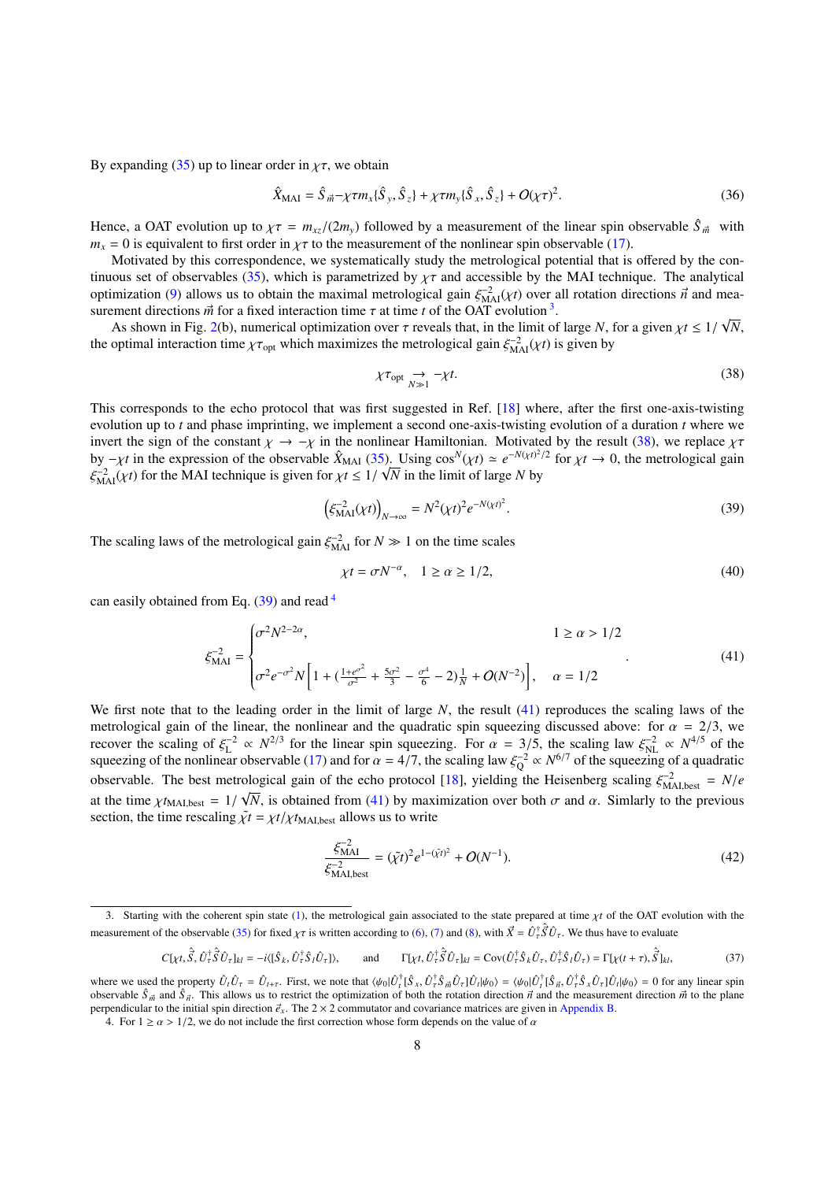By expanding [\(35\)](#page-6-1) up to linear order in  $\gamma\tau$ , we obtain

$$
\hat{X}_{\text{MAI}} = \hat{S}_{\vec{m}} - \chi \tau m_x \{\hat{S}_y, \hat{S}_z\} + \chi \tau m_y \{\hat{S}_x, \hat{S}_z\} + O(\chi \tau)^2.
$$
\n(36)

Hence, a OAT evolution up to  $\chi \tau = m_{\chi}/(2m_{\chi})$  followed by a measurement of the linear spin observable  $\hat{S}_{\vec{m}}$  with  $m<sub>x</sub> = 0$  is equivalent to first order in  $\chi\tau$  to the measurement of the nonlinear spin observable [\(17\)](#page-4-3).

Motivated by this correspondence, we systematically study the metrological potential that is offered by the con-tinuous set of observables [\(35\)](#page-6-1), which is parametrized by  $\chi\tau$  and accessible by the MAI technique. The analytical optimization [\(9\)](#page-2-4) allows us to obtain the maximal metrological gain  $\xi_{\text{MAI}}^{-2}(\chi t)$  over all rotation directions  $\vec{n}$  and mea-<br>surgement directions  $\vec{n}$  for a fixed interaction time  $\tau$  at time t of the OAT evoluti surement directions  $\vec{m}$  for a fixed interaction time  $\tau$  at time *t* of the OAT evolution <sup>[3](#page-7-1)</sup>.<br>As shown in Fig. 2(b), numerical optimization over  $\tau$  reveals that, in the limit of √

As shown in Fig. [2\(](#page-5-0)b), numerical optimization over  $\tau$  reveals that, in the limit of large *N*, for a given  $\chi t \le 1/\text{optimal}$  interaction time  $\chi\tau$ , which maximizes the metrological gain  $\xi^{-2}$ , (xt) is given by *N*, the optimal interaction time  $\chi \tau_{opt}$  which maximizes the metrological gain  $\xi_{\text{MAI}}^{-2}(\chi t)$  is given by

<span id="page-7-3"></span><span id="page-7-2"></span>
$$
\chi \tau_{\text{opt}} \underset{N \gg 1}{\rightarrow} -\chi t. \tag{38}
$$

This corresponds to the echo protocol that was first suggested in Ref. [\[18\]](#page-22-0) where, after the first one-axis-twisting evolution up to *t* and phase imprinting, we implement a second one-axis-twisting evolution of a duration *t* where we invert the sign of the constant  $\chi \to -\chi$  in the nonlinear Hamiltonian. Motivated by the result [\(38\)](#page-7-2), we replace  $\chi \tau$ by  $-\chi t$  in the expression of the observable  $\hat{X}_{\text{MAI}}$  [\(35\)](#page-6-1). Using  $\cos^N(\chi t) \simeq e^{-N(\chi t)^2/2}$  for  $\chi t \to 0$ , the metrological gain  $\xi^{-2}$  ( $\chi t$ ) for the MAI technique is given for  $\chi t \leq 1/\sqrt{N}$  in the limit of larg ξ  $\frac{-2}{\text{MAI}}(\chi t)$  for the MAI technique is given for  $\chi t \leq 1/\sqrt{N}$  in the limit of large *N* by

$$
\left(\xi_{\text{MAI}}^{-2}(\chi t)\right)_{N\to\infty} = N^2(\chi t)^2 e^{-N(\chi t)^2}.\tag{39}
$$

The scaling laws of the metrological gain  $\xi_{\text{MAI}}^{-2}$  for  $N \gg 1$  on the time scales

<span id="page-7-6"></span><span id="page-7-5"></span>
$$
\chi t = \sigma N^{-\alpha}, \quad 1 \ge \alpha \ge 1/2,\tag{40}
$$

can easily obtained from Eq. [\(39\)](#page-7-3) and read <sup>[4](#page-7-4)</sup>

$$
\xi_{\text{MAI}}^{-2} = \begin{cases}\n\sigma^2 N^{2-2\alpha}, & 1 \ge \alpha > 1/2 \\
\sigma^2 e^{-\sigma^2} N \left[ 1 + \left( \frac{1 + e^{\sigma^2}}{\sigma^2} + \frac{5\sigma^2}{3} - \frac{\sigma^4}{6} - 2 \right) \frac{1}{N} + O(N^{-2}) \right], & \alpha = 1/2\n\end{cases}
$$
\n(41)

We first note that to the leading order in the limit of large *N*, the result [\(41\)](#page-7-5) reproduces the scaling laws of the metrological gain of the linear, the nonlinear and the quadratic spin squeezing discussed above: for  $\alpha = 2/3$ , we<br>recover the scaling of  $\xi^{-2} \propto N^{2/3}$  for the linear spin squeezing. For  $\alpha = 3/5$  the scaling law  $\xi^{-2$ recover the scaling of  $\xi_L^{-2} \propto N^{2/3}$  for the linear spin squeezing. For  $\alpha = 3/5$ , the scaling law  $\xi_{NL}^{-2} \propto N^{4/5}$  of the squeezing of the nonlinear observable (17) and for  $\alpha = 4/7$  the scaling law  $\xi_{NL}^{-2} \propto N^{$ squeezing of the nonlinear observable [\(17\)](#page-4-3) and for  $\alpha = 4/7$ , the scaling law  $\xi_Q^{-2} \propto N^{6/7}$  of the squeezing of a quadratic<br>charmable. The hast matrelagical sain of the sabe protected [18], vialding the Heigenberg sca observable. The best metrological gain of the echo protocol [\[18\]](#page-22-0), yielding the Heisenberg scaling  $\xi_{\text{pA},\text{best}}^{-2} = N/e$ at the time  $\chi t_{\text{MAI,best}} = 1/\sqrt{N}$ , is obtained from [\(41\)](#page-7-5) by maximization over both  $\sigma$  and  $\alpha$ . Simlarly to the previous section the time rescaling  $\tilde{\nu}t = \chi t/\chi t_{\text{MAI}}$ , allows us to write section, the time rescaling  $\tilde{\chi}t = \chi t / \chi t_{\text{MAI,best}}$  allows us to write

<span id="page-7-0"></span>
$$
\frac{\xi_{\text{MAI}}^{-2}}{\xi_{\text{MAI},\text{best}}^{-2}} = (\tilde{\chi}t)^2 e^{1-(\tilde{\chi}t)^2} + O(N^{-1}).\tag{42}
$$

$$
C[\chi t, \hat{S}, \hat{U}_{\tau}^{\dagger} \hat{S} \hat{U}_{\tau}]_{kl} = -i \langle [\hat{S}_k, \hat{U}_{\tau}^{\dagger} \hat{S}_l \hat{U}_{\tau}] \rangle, \quad \text{and} \quad \Gamma[\chi t, \hat{U}_{\tau}^{\dagger} \hat{S} \hat{U}_{\tau}]_{kl} = \text{Cov}(\hat{U}_{\tau}^{\dagger} \hat{S}_k \hat{U}_{\tau}, \hat{U}_{\tau}^{\dagger} \hat{S}_l \hat{U}_{\tau}) = \Gamma[\chi(t+\tau), \hat{S}]_{kl}, \quad (37)
$$

<span id="page-7-1"></span><sup>3.</sup> Starting with the coherent spin state [\(1\)](#page-1-1), the metrological gain associated to the state prepared at time  $\chi t$  of the OAT evolution with the measurement of the observable [\(35\)](#page-6-1) for fixed  $\chi\tau$  is written according to [\(6\)](#page-2-1), [\(7\)](#page-2-2) and [\(8\)](#page-2-3), with  $\vec{X} = \hat{U}^{\dagger}_{\tau}$  $\hat{\vec{S}} \hat{U}_{\tau}$ . We thus have to evaluate

where we used the property  $\hat{U}_t \hat{U}_\tau = \hat{U}_{t+\tau}$ . First, we note that  $\langle \psi_0 | \hat{U}_t^\dagger | \hat{S}_x, \hat{U}_\tau^\dagger \hat{S}_m \hat{U}_\tau | \hat{U}_t | \psi_0 \rangle = \langle \psi_0 | \hat{U}_t^\dagger | \hat{S}_\pi, \hat{U}_\tau^\dagger \hat{S}_\pi \hat{U}_\tau | \hat{U}_t | \psi_0 \rangle = 0$  for any linear s observable  $\hat{S}_{\vec{m}}$  and  $\hat{S}_{\vec{n}}$ . This allows us to restrict the optimization of both the rotation direction  $\vec{n}$  and the measurement direction  $\vec{m}$  to the plane<br>perpendicular to the initial spin direction  $\vec$ between  $S_{\vec{n}}$  and  $S_{\vec{n}}$ . This anows us to restrict the optimization of both the rotation are covariance matrices are given in [Appendix B.](#page-17-0)<br>perpendicular to the initial spin direction  $\vec{e}_x$ . The 2 × 2 commutator an

<span id="page-7-4"></span><sup>4.</sup> For  $1 \ge \alpha > 1/2$ , we do not include the first correction whose form depends on the value of  $\alpha$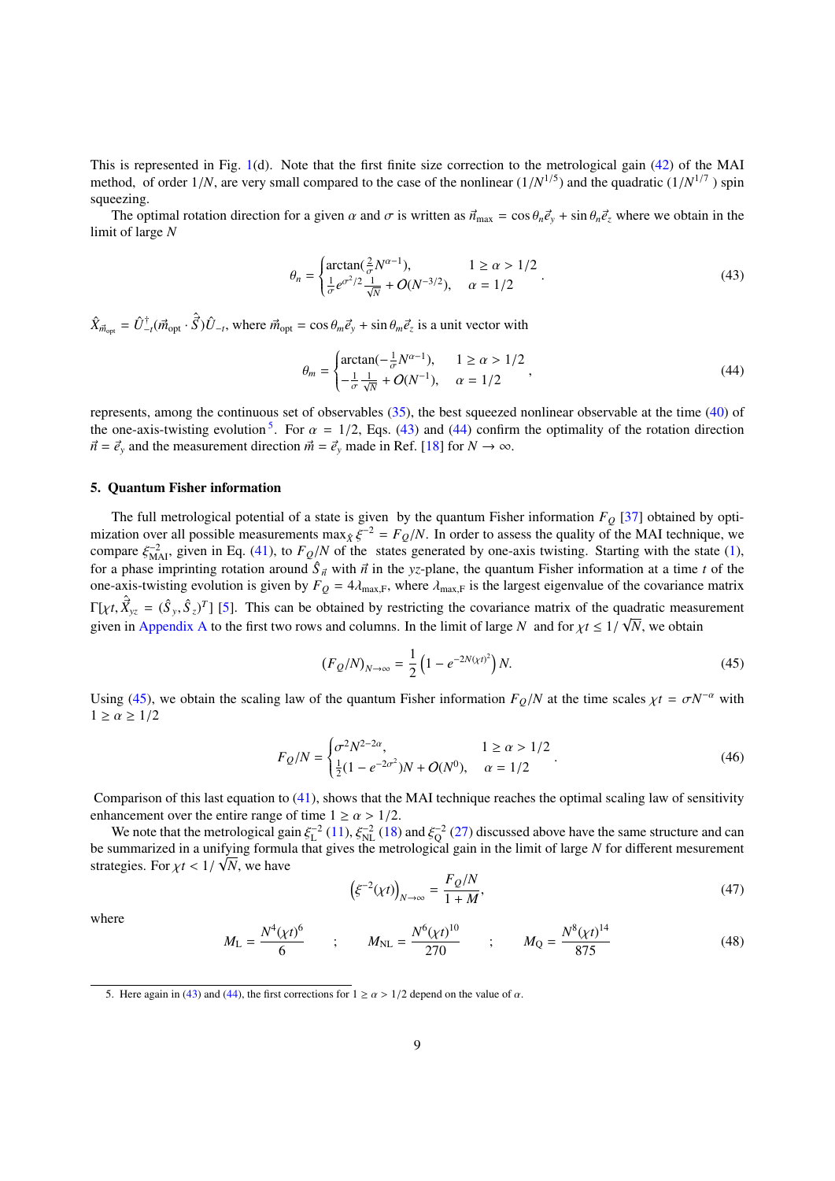This is represented in Fig. [1\(](#page-3-2)d). Note that the first finite size correction to the metrological gain [\(42\)](#page-7-0) of the MAI method, of order  $1/N$ , are very small compared to the case of the nonlinear  $(1/N^{1/5})$  and the quadratic  $(1/N^{1/7})$  spin<br>squeezing squeezing.

The optimal rotation direction for a given  $\alpha$  and  $\sigma$  is written as  $\vec{n}_{\text{max}} = \cos \theta_n \vec{e}_y + \sin \theta_n \vec{e}_z$  where we obtain in the limit of large *N*

$$
\theta_n = \begin{cases} \arctan(\frac{2}{\sigma} N^{\alpha - 1}), & 1 \ge \alpha > 1/2 \\ \frac{1}{\sigma} e^{\sigma^2/2} \frac{1}{\sqrt{N}} + O(N^{-3/2}), & \alpha = 1/2 \end{cases} .
$$
 (43)

 $\hat{X}_{\vec{m}_{opt}} = \hat{U}_{-t}^{\dagger}(\vec{m}_{opt} \cdot \hat{\vec{S}})\hat{U}_{-t}$ , where  $\vec{m}_{opt} = \cos \theta_m \vec{e}_y + \sin \theta_m \vec{e}_z$  is a unit vector with

<span id="page-8-2"></span><span id="page-8-1"></span>
$$
\theta_m = \begin{cases}\n\arctan(-\frac{1}{\sigma}N^{\alpha-1}), & 1 \ge \alpha > 1/2 \\
-\frac{1}{\sigma}\frac{1}{\sqrt{N}} + O(N^{-1}), & \alpha = 1/2\n\end{cases}
$$
\n(44)

represents, among the continuous set of observables [\(35\)](#page-6-1), the best squeezed nonlinear observable at the time [\(40\)](#page-7-6) of the one-axis-twisting evolution <sup>[5](#page-8-0)</sup>. For  $\alpha = 1/2$ , Eqs. [\(43\)](#page-8-1) and [\(44\)](#page-8-2) confirm the optimality of the rotation direction  $\vec{a} = \vec{a}$  and the measurement direction  $\vec{a} = \vec{a}$  made in Ref. [18] for  $N \to \infty$  $\vec{n} = \vec{e}_y$  and the measurement direction  $\vec{m} = \vec{e}_y$  made in Ref. [\[18\]](#page-22-0) for  $N \to \infty$ .

#### <span id="page-8-5"></span>5. Quantum Fisher information

The full metrological potential of a state is given by the quantum Fisher information *F<sup>Q</sup>* [\[37\]](#page-22-19) obtained by optimization over all possible measurements  $\max_{\hat{X}} \xi^{-2} = F_Q/N$ . In order to assess the quality of the MAI technique, we<br>compare  $\xi^{-2}$  given in Eq. (41), to  $F_Q/N$  of the states generated by one-axis twisting. Starting with compare  $\xi_{\text{MAI}}^{-2}$ , given in Eq. [\(41\)](#page-7-5), to  $F_Q/N$  of the states generated by one-axis twisting. Starting with the state [\(1\)](#page-1-1), for a phase importing retation around  $\hat{\xi}$ , with  $\vec{\sigma}$  in the vs plane, the quantum Fishe for a phase imprinting rotation around  $\hat{S}_{\vec{n}}$  with  $\vec{n}$  in the *yz*-plane, the quantum Fisher information at a time *t* of the one-axis-twisting evolution is given by  $F_0 = 4$  in where *t* is the largest eigenvalue one-axis-twisting evolution is given by  $F_Q = 4\lambda_{\text{max,F}}$ , where  $\lambda_{\text{max,F}}$  is the largest eigenvalue of the covariance matrix  $\Gamma[\chi t, \hat{X}_{yz} = (\hat{S}_y, \hat{S}_z)^T]$  [\[5\]](#page-21-4). This can be obtained by restricting the covariance matrix of the quadratic measurement given in [Appendix A](#page-16-0) to the first two rows and columns. In the limit of large *N* and for  $\chi t \leq 1/\sqrt{N}$ , we obtain

<span id="page-8-3"></span>
$$
(F_Q/N)_{N \to \infty} = \frac{1}{2} \left( 1 - e^{-2N(\chi t)^2} \right) N. \tag{45}
$$

Using [\(45\)](#page-8-3), we obtain the scaling law of the quantum Fisher information  $F_Q/N$  at the time scales  $\chi t = \sigma N^{-\alpha}$  with  $1 > \alpha > 1/2$  $1 \ge \alpha \ge 1/2$ 

$$
F_Q/N = \begin{cases} \sigma^2 N^{2-2\alpha}, & 1 \ge \alpha > 1/2 \\ \frac{1}{2}(1 - e^{-2\sigma^2})N + O(N^0), & \alpha = 1/2 \end{cases} .
$$
 (46)

Comparison of this last equation to [\(41\)](#page-7-5), shows that the MAI technique reaches the optimal scaling law of sensitivity enhancement over the entire range of time  $1 \ge \alpha > 1/2$ .

We note that the metrological gain  $\xi_{\rm L}^{-2}$  [\(11\)](#page-3-1),  $\xi_{\rm NL}^{-2}$  [\(18\)](#page-4-2) and  $\xi_{\rm Q}^{-2}$  [\(27\)](#page-5-2) discussed above have the same structure and can<br>ummarized in a unifying formula that gives the metrological gain in the limit o be summarized in a unifying formula that gives the metrological gain in the limit of large *N* for different mesurement strategies. For  $\chi t < 1/\sqrt{N}$ , we have

<span id="page-8-4"></span>
$$
\left(\xi^{-2}(\chi t)\right)_{N\to\infty} = \frac{F_Q/N}{1+M},\tag{47}
$$

where

$$
M_{\rm L} = \frac{N^4(\chi t)^6}{6} \qquad ; \qquad M_{\rm NL} = \frac{N^6(\chi t)^{10}}{270} \qquad ; \qquad M_{\rm Q} = \frac{N^8(\chi t)^{14}}{875} \tag{48}
$$

<span id="page-8-0"></span><sup>5.</sup> Here again in [\(43\)](#page-8-1) and [\(44\)](#page-8-2), the first corrections for  $1 \ge \alpha > 1/2$  depend on the value of  $\alpha$ .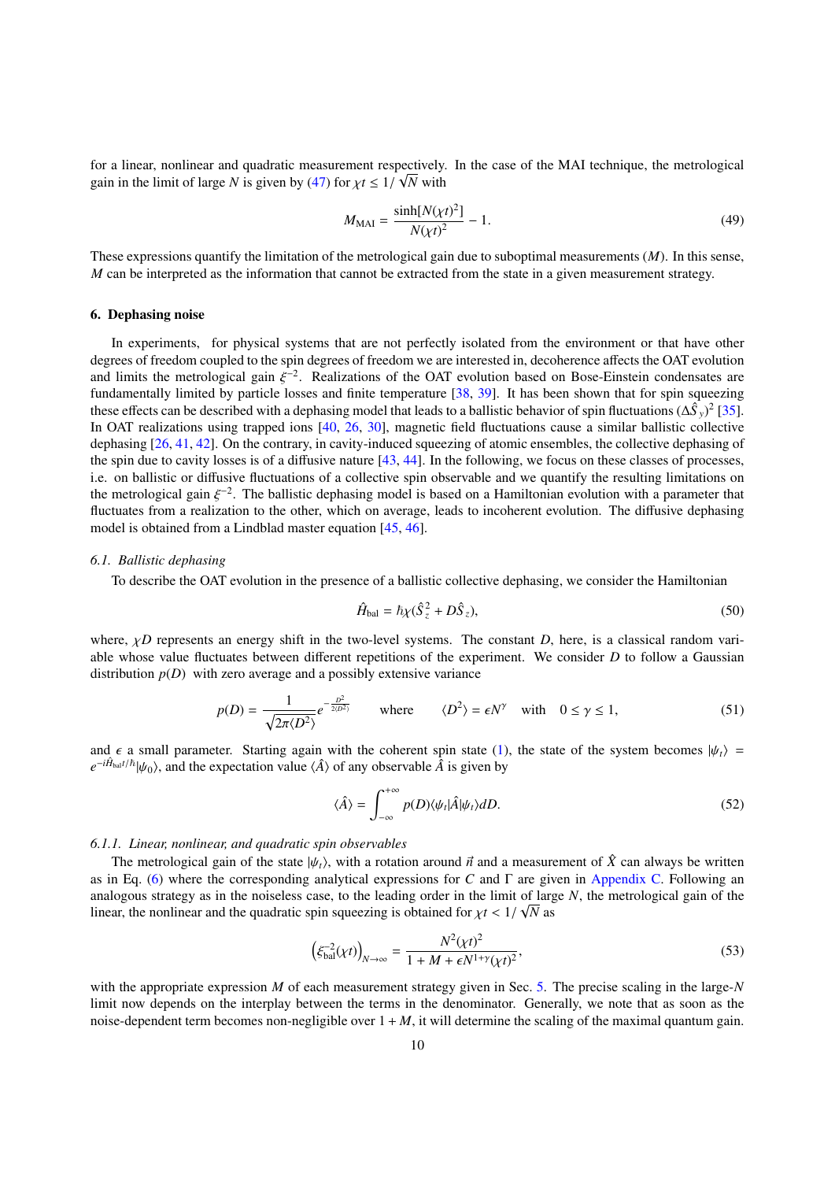for a linear, nonlinear and quadratic measurement respectively. In the case of the MAI technique, the metrological gain in the limit of large *N* is given by [\(47\)](#page-8-4) for  $\chi t \leq 1/\sqrt{N}$  with

$$
M_{\text{MAI}} = \frac{\sinh[N(\chi t)^2]}{N(\chi t)^2} - 1.
$$
\n(49)

These expressions quantify the limitation of the metrological gain due to suboptimal measurements (*M*). In this sense, *M* can be interpreted as the information that cannot be extracted from the state in a given measurement strategy.

#### 6. Dephasing noise

In experiments, for physical systems that are not perfectly isolated from the environment or that have other degrees of freedom coupled to the spin degrees of freedom we are interested in, decoherence affects the OAT evolution and limits the metrological gain  $\xi^{-2}$ . Realizations of the OAT evolution based on Bose-Einstein condensates are<br>fundamentally limited by particle losses and finite temperature [38, 39]. It has been shown that for spin fundamentally limited by particle losses and finite temperature [\[38,](#page-22-20) [39\]](#page-22-21). It has been shown that for spin squeezing these effects can be described with a dephasing model that leads to a ballistic behavior of spin fluctuations  $(\Delta \hat{S}_y)^2$  [\[35\]](#page-22-17). In OAT realizations using trapped ions [\[40,](#page-22-22) [26,](#page-22-8) [30\]](#page-22-12), magnetic field fluctuations cause a similar ballistic collective dephasing [\[26,](#page-22-8) [41,](#page-22-23) [42\]](#page-22-24). On the contrary, in cavity-induced squeezing of atomic ensembles, the collective dephasing of the spin due to cavity losses is of a diffusive nature [\[43,](#page-22-25) [44\]](#page-22-26). In the following, we focus on these classes of processes, i.e. on ballistic or diffusive fluctuations of a collective spin observable and we quantify the resulting limitations on the metrological gain  $\xi^{-2}$ . The ballistic dephasing model is based on a Hamiltonian evolution with a parameter that<br>fluctuates from a realization to the other which on average, leads to incoherent evolution. The diffus fluctuates from a realization to the other, which on average, leads to incoherent evolution. The diffusive dephasing model is obtained from a Lindblad master equation [\[45,](#page-22-27) [46\]](#page-22-28).

#### <span id="page-9-1"></span>*6.1. Ballistic dephasing*

To describe the OAT evolution in the presence of a ballistic collective dephasing, we consider the Hamiltonian

$$
\hat{H}_{\text{bal}} = \hbar \chi (\hat{S}_z^2 + D\hat{S}_z),\tag{50}
$$

where,  $\chi D$  represents an energy shift in the two-level systems. The constant *D*, here, is a classical random variable whose value fluctuates between different repetitions of the experiment. We consider *D* to follow a Gaussian distribution  $p(D)$  with zero average and a possibly extensive variance

$$
p(D) = \frac{1}{\sqrt{2\pi \langle D^2 \rangle}} e^{-\frac{D^2}{2 \langle D^2 \rangle}} \quad \text{where} \quad \langle D^2 \rangle = \epsilon N^\gamma \quad \text{with} \quad 0 \le \gamma \le 1,
$$
 (51)

and  $\epsilon$  a small parameter. Starting again with the coherent spin state [\(1\)](#page-1-1), the state of the system becomes  $|\psi_t\rangle$  =  $e^{-i\hat{H}_{\text{balt}}/h}|\psi_0\rangle$ , and the expectation value  $\langle \hat{A} \rangle$  of any observable  $\hat{A}$  is given by

$$
\langle \hat{A} \rangle = \int_{-\infty}^{+\infty} p(D) \langle \psi_t | \hat{A} | \psi_t \rangle dD. \tag{52}
$$

#### *6.1.1. Linear, nonlinear, and quadratic spin observables*

The metrological gain of the state  $|\psi_t\rangle$ , with a rotation around  $\vec{n}$  and a measurement of  $\hat{X}$  can always be written as in Eq. [\(6\)](#page-2-1) where the corresponding analytical expressions for *C* and Γ are given in [Appendix C.](#page-17-1) Following an analogous strategy as in the noiseless case, to the leading order in the limit of large  $N$ , the metrological gain of the linear, the nonlinear and the quadratic spin squeezing is obtained for  $\chi t < 1/\sqrt{N}$  as

<span id="page-9-0"></span>
$$
\left(\xi_{\text{bal}}^{-2}(\chi t)\right)_{N \to \infty} = \frac{N^2(\chi t)^2}{1 + M + \epsilon N^{1 + \gamma}(\chi t)^2},\tag{53}
$$

with the appropriate expression *M* of each measurement strategy given in Sec. [5.](#page-8-5) The precise scaling in the large-*N* limit now depends on the interplay between the terms in the denominator. Generally, we note that as soon as the noise-dependent term becomes non-negligible over  $1 + M$ , it will determine the scaling of the maximal quantum gain.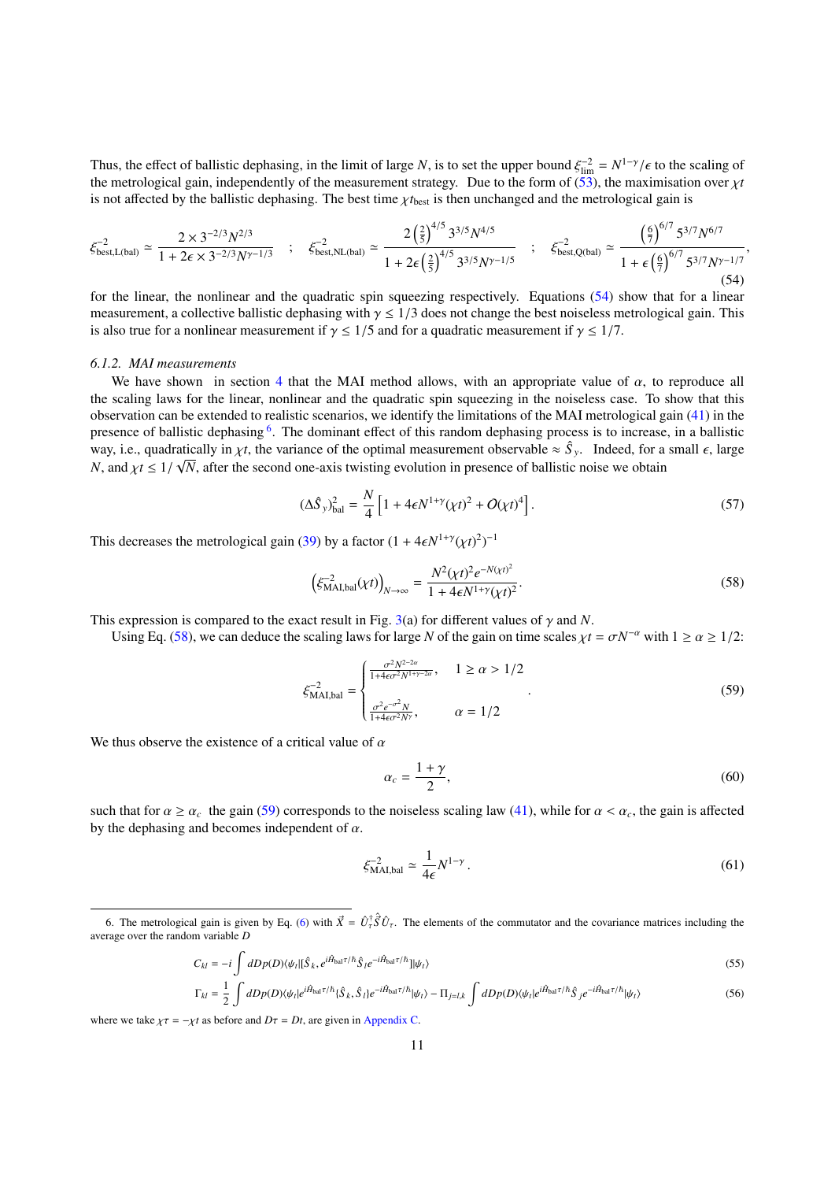Thus, the effect of ballistic dephasing, in the limit of large *N*, is to set the upper bound  $\xi_{\text{lim}}^{-2} = N^{1-\gamma}/\epsilon$  to the scaling of the metrological gain, independently of the measurement strategy. Due to the form of ( the metrological gain, independently of the measurement strategy. Due to the form of  $(53)$ , the maximisation over  $\chi t$ is not affected by the ballistic dephasing. The best time  $\chi t_{\text{best}}$  is then unchanged and the metrological gain is

$$
\xi_{\text{best},L(\text{bal})}^{-2} \simeq \frac{2 \times 3^{-2/3} N^{2/3}}{1 + 2\epsilon \times 3^{-2/3} N^{\gamma - 1/3}} \quad ; \quad \xi_{\text{best},NL(\text{bal})}^{-2} \simeq \frac{2 \left(\frac{2}{5}\right)^{4/5} 3^{3/5} N^{4/5}}{1 + 2\epsilon \left(\frac{2}{5}\right)^{4/5} 3^{3/5} N^{\gamma - 1/5}} \quad ; \quad \xi_{\text{best},Q(\text{bal})}^{-2} \simeq \frac{\left(\frac{6}{7}\right)^{6/7} 5^{3/7} N^{6/7}}{1 + \epsilon \left(\frac{6}{7}\right)^{6/7} 5^{3/7} N^{\gamma - 1/7}},
$$
\n(54)

for the linear, the nonlinear and the quadratic spin squeezing respectively. Equations [\(54\)](#page-10-0) show that for a linear measurement, a collective ballistic dephasing with  $\gamma \leq 1/3$  does not change the best noiseless metrological gain. This is also true for a nonlinear measurement if  $\gamma \leq 1/5$  and for a quadratic measurement if  $\gamma \leq 1/7$ .

#### *6.1.2. MAI measurements*

We have shown in section [4](#page-6-2) that the MAI method allows, with an appropriate value of  $\alpha$ , to reproduce all the scaling laws for the linear, nonlinear and the quadratic spin squeezing in the noiseless case. To show that this observation can be extended to realistic scenarios, we identify the limitations of the MAI metrological gain [\(41\)](#page-7-5) in the presence of ballistic dephasing <sup>[6](#page-10-1)</sup>. The dominant effect of this random dephasing process is to increase, in a ballistic way, i.e., quadratically in  $\chi t$ , the variance of the optimal measurement observable  $\approx \hat{S}_y$ . Indeed, for a small  $\epsilon$ , large  $N$  and  $\chi t \leq 1/\sqrt{N}$  after the second one oxis twisting qualitien in presence of hallist *N*, and  $\chi t \leq 1/\sqrt{N}$ , after the second one-axis twisting evolution in presence of ballistic noise we obtain

<span id="page-10-0"></span>
$$
(\Delta \hat{S}_y)_{\text{bal}}^2 = \frac{N}{4} \left[ 1 + 4\epsilon N^{1+\gamma} (\chi t)^2 + O(\chi t)^4 \right].
$$
 (57)

This decreases the metrological gain [\(39\)](#page-7-3) by a factor  $(1 + 4\epsilon N^{1+\gamma}(\chi t)^2)^{-1}$ 

$$
\left(\xi_{\text{MAI,bal}}^{-2}(\chi t)\right)_{N \to \infty} = \frac{N^2(\chi t)^2 e^{-N(\chi t)^2}}{1 + 4\epsilon N^{1+\gamma}(\chi t)^2}.
$$
\n(58)

This expression is compared to the exact result in Fig. [3\(](#page-11-0)a) for different values of  $\gamma$  and *N*.

Using Eq. [\(58\)](#page-10-2), we can deduce the scaling laws for large *N* of the gain on time scales  $\chi t = \sigma N^{-\alpha}$  with  $1 \ge \alpha \ge 1/2$ :

$$
\xi_{\text{MAI,bal}}^{-2} = \begin{cases}\n\frac{\sigma^2 N^{2-2\alpha}}{1 + 4\epsilon \sigma^2 N^{1+\gamma-2\alpha}}, & 1 \ge \alpha > 1/2\\
\frac{\sigma^2 e^{-\sigma^2} N}{1 + 4\epsilon \sigma^2 N^{\gamma}}, & \alpha = 1/2\n\end{cases} (59)
$$

We thus observe the existence of a critical value of  $\alpha$ 

<span id="page-10-5"></span><span id="page-10-4"></span><span id="page-10-3"></span><span id="page-10-2"></span>
$$
\alpha_c = \frac{1+\gamma}{2},\tag{60}
$$

such that for  $\alpha \ge \alpha_c$  the gain [\(59\)](#page-10-3) corresponds to the noiseless scaling law [\(41\)](#page-7-5), while for  $\alpha < \alpha_c$ , the gain is affected by the dephasing and becomes independent of  $\alpha$ .

$$
\xi_{\text{MAI},\text{bal}}^{-2} \simeq \frac{1}{4\epsilon} N^{1-\gamma} \,. \tag{61}
$$

$$
C_{kl} = -i \int dDp(D)\langle \psi_t | [\hat{S}_k, e^{i\hat{H}_{\text{bal}}\tau/\hbar} \hat{S}_l e^{-i\hat{H}_{\text{bal}}\tau/\hbar}] |\psi_t \rangle
$$
\n(55)

$$
\Gamma_{kl} = \frac{1}{2} \int dDp(D)\langle \psi_t | e^{i\hat{H}_{\text{bal}}\tau/\hbar} \{ \hat{S}_k, \hat{S}_l \} e^{-i\hat{H}_{\text{bal}}\tau/\hbar} | \psi_t \rangle - \Pi_{j=l,k} \int dDp(D)\langle \psi_t | e^{i\hat{H}_{\text{bal}}\tau/\hbar} \hat{S}_j e^{-i\hat{H}_{\text{bal}}\tau/\hbar} | \psi_t \rangle \tag{56}
$$

where we take  $\chi \tau = -\chi t$  as before and  $D\tau = Dt$ , are given in [Appendix C.](#page-17-1)

<span id="page-10-1"></span><sup>6.</sup> The metrological gain is given by Eq. [\(6\)](#page-2-1) with  $\vec{X} = \hat{U}_\tau^{\dagger}$  $\hat{S}$ *U*<sup> $\tau$ </sup>. The elements of the commutator and the covariance matrices including the average over the random variable *D*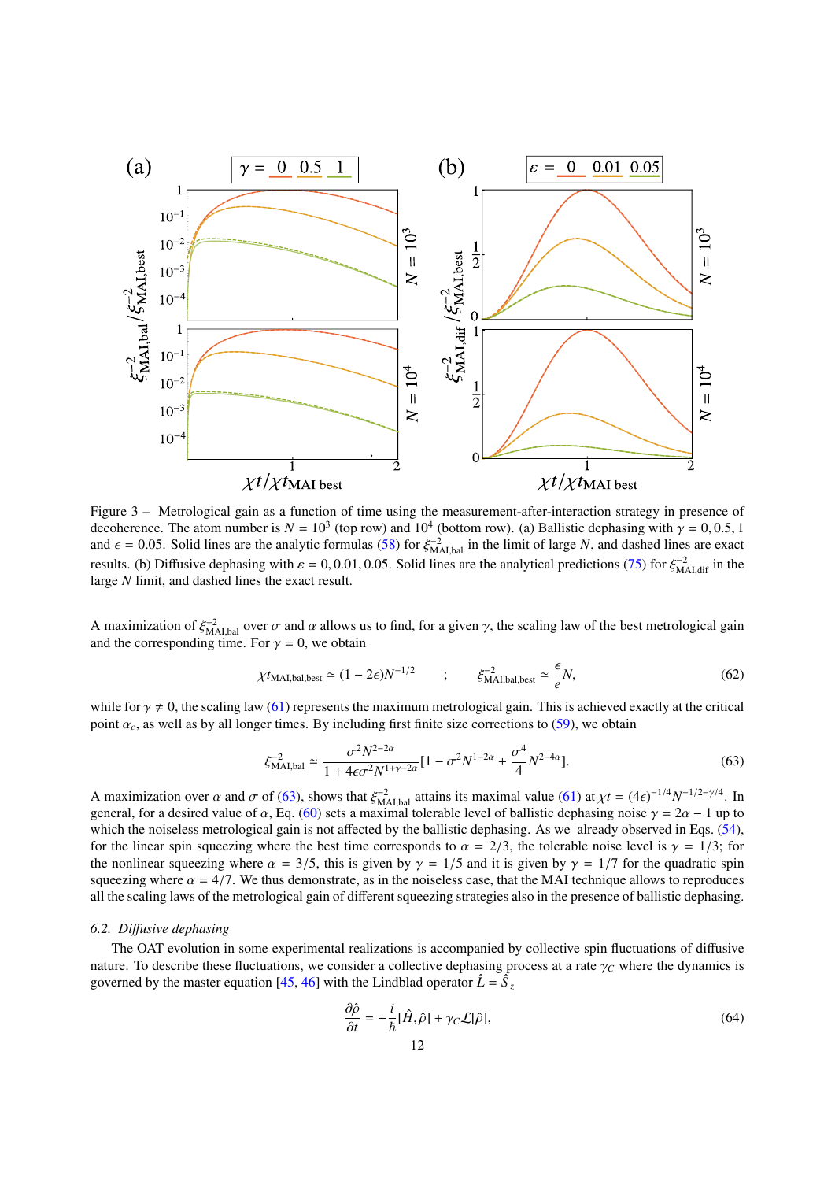<span id="page-11-0"></span>

Figure 3 – Metrological gain as a function of time using the measurement-after-interaction strategy in presence of decoherence. The atom number is  $N = 10^3$  (top row) and  $10^4$  (bottom row). (a) Ballistic dephasing with  $\gamma = 0, 0.5, 1$ <br>and  $\epsilon = 0.05$ . Solid lines are the analytic formulas (58) for  $\xi^{-2}$  in the limit of large N, and and  $\epsilon = 0.05$ . Solid lines are the analytic formulas [\(58\)](#page-10-2) for  $\xi_{\text{A},\text{bal}}^{-2}$  in the limit of large *N*, and dashed lines are exact<br>results (b) Diffusive daphasing with  $\epsilon = 0.001, 0.05$ . Solid lines are the analytica results. (b) Diffusive dephasing with  $\varepsilon = 0, 0.01, 0.05$ . Solid lines are the analytical predictions [\(75\)](#page-13-0) for  $\xi_{\text{MAI},\text{dif}}^{-2}$  in the large N limit and dashed lines the exact result large *N* limit, and dashed lines the exact result.

A maximization of  $\xi_{\text{MAI,bal}}^{-2}$  over  $\sigma$  and  $\alpha$  allows us to find, for a given  $\gamma$ , the scaling law of the best metrological gain<br>and the corresponding time. For  $\gamma = 0$  we obtain and the corresponding time. For  $\gamma = 0$ , we obtain

$$
\chi t_{\text{MAI,bal,best}} \simeq (1 - 2\epsilon) N^{-1/2} \qquad ; \qquad \xi_{\text{MAI,bal,best}}^{-2} \simeq \frac{\epsilon}{e} N, \tag{62}
$$

while for  $\gamma \neq 0$ , the scaling law [\(61\)](#page-10-4) represents the maximum metrological gain. This is achieved exactly at the critical point  $\alpha_c$ , as well as by all longer times. By including first finite size corrections to [\(59\)](#page-10-3), we obtain

$$
\xi_{\text{MAI,bal}}^{-2} \simeq \frac{\sigma^2 N^{2-2\alpha}}{1 + 4\epsilon \sigma^2 N^{1+\gamma-2\alpha}} [1 - \sigma^2 N^{1-2\alpha} + \frac{\sigma^4}{4} N^{2-4\alpha}].
$$
\n(63)

A maximization over  $\alpha$  and  $\sigma$  of [\(63\)](#page-11-1), shows that  $\xi_{\text{M,Lbal}}^{-2}$  attains its maximal value [\(61\)](#page-10-4) at  $\chi t = (4\epsilon)^{-1/4} N^{-1/2-\gamma/4}$ . In<br>general, for a desired value of  $\alpha$ . Eq. (60) sets a maximal tolerable level of balli general, for a desired value of  $\alpha$ , Eq. [\(60\)](#page-10-5) sets a maximal tolerable level of ballistic dephasing noise  $\gamma = 2\alpha - 1$  up to which the noiseless metrological gain is not affected by the ballistic dephasing. As we already which the noiseless metrological gain is not affected by the ballistic dephasing. As we already observed in Eqs. [\(54\)](#page-10-0), for the linear spin squeezing where the best time corresponds to  $\alpha = 2/3$ , the tolerable noise level is  $\gamma = 1/3$ ; for the nonlinear squeezing where  $\alpha = 3/5$ , this is given by  $\gamma = 1/5$  and it is given by  $\gamma = 1/7$  for the quadratic spin squeezing where  $\alpha = 4/7$ . We thus demonstrate, as in the noiseless case, that the MAI technique allows to reproduces all the scaling laws of the metrological gain of different squeezing strategies also in the presence of ballistic dephasing.

#### *6.2. Di*ff*usive dephasing*

The OAT evolution in some experimental realizations is accompanied by collective spin fluctuations of diffusive nature. To describe these fluctuations, we consider a collective dephasing process at a rate  $\gamma_c$  where the dynamics is governed by the master equation [\[45,](#page-22-27) [46\]](#page-22-28) with the Lindblad operator  $\hat{L} = \hat{S}_z$ 

<span id="page-11-1"></span>
$$
\frac{\partial \hat{\rho}}{\partial t} = -\frac{i}{\hbar} [\hat{H}, \hat{\rho}] + \gamma_C \mathcal{L}[\hat{\rho}],\tag{64}
$$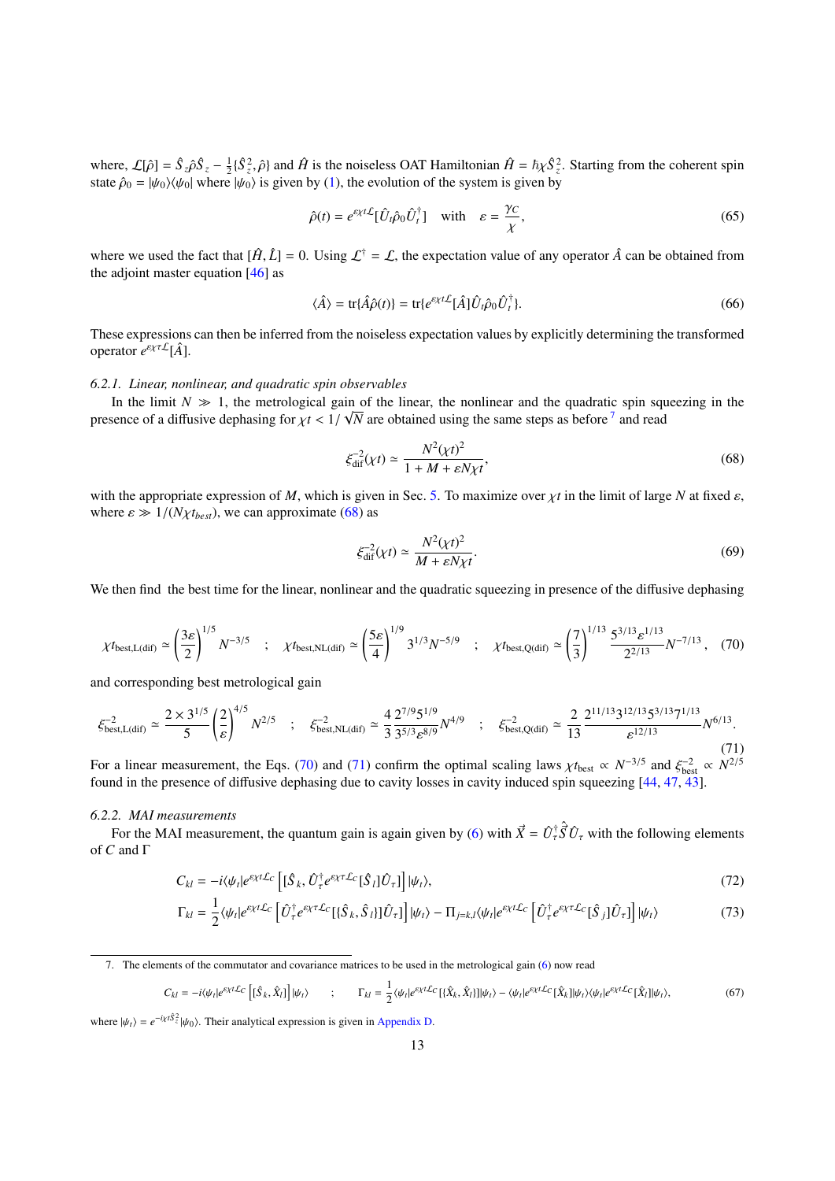where,  $\mathcal{L}[\hat{\rho}] = \hat{S}_z \hat{\rho} \hat{S}_z - \frac{1}{2} \{\hat{S}_z^2, \hat{\rho}\}$  and  $\hat{H}$  is the noiseless OAT Hamiltonian  $\hat{H} = \hbar \chi \hat{S}_z^2$ . Starting from the coherent spin state  $\hat{\rho}_s = h/\omega / \nu(s)$  where  $h/\omega$  is given by (1) the ev state  $\hat{\rho}_0 = |\psi_0\rangle\langle\psi_0|$  where  $|\psi_0\rangle$  is given by [\(1\)](#page-1-1), the evolution of the system is given by

$$
\hat{\rho}(t) = e^{\varepsilon \chi t \mathcal{L}} [\hat{U}_t \hat{\rho}_0 \hat{U}_t^{\dagger}] \quad \text{with} \quad \varepsilon = \frac{\gamma c}{\chi}, \tag{65}
$$

where we used the fact that  $[\hat{H}, \hat{L}] = 0$ . Using  $\mathcal{L}^{\dagger} = \mathcal{L}$ , the expectation value of any operator  $\hat{A}$  can be obtained from the adjoint master equation  $[46]$  as

$$
\langle \hat{A} \rangle = \text{tr}\{\hat{A}\hat{\rho}(t)\} = \text{tr}\{e^{\epsilon \chi t \mathcal{L}}[\hat{A}]\hat{U}_t \hat{\rho}_0 \hat{U}_t^{\dagger}\}.
$$
\n(66)

These expressions can then be inferred from the noiseless expectation values by explicitly determining the transformed operator *e* εχτL[*A*ˆ].

#### *6.2.1. Linear, nonlinear, and quadratic spin observables*

In the limit  $N \gg 1$ , the metrological gain of the linear, the nonlinear and the quadratic spin squeezing in the presence of a diffusive dephasing for  $\chi t < 1/\sqrt{N}$  are obtained using the same steps as before<sup>[7](#page-12-0)</sup> and read

<span id="page-12-1"></span>
$$
\xi_{\text{dif}}^{-2}(\chi t) \simeq \frac{N^2(\chi t)^2}{1 + M + \varepsilon N \chi t},\tag{68}
$$

with the appropriate expression of *M*, which is given in Sec. [5.](#page-8-5) To maximize over  $\chi t$  in the limit of large *N* at fixed  $\varepsilon$ , where  $\varepsilon \gg 1/(N\chi t_{best})$ , we can approximate [\(68\)](#page-12-1) as

<span id="page-12-5"></span><span id="page-12-4"></span><span id="page-12-3"></span>
$$
\xi_{\text{dif}}^{-2}(\chi t) \simeq \frac{N^2(\chi t)^2}{M + \varepsilon N \chi t}.\tag{69}
$$

<span id="page-12-2"></span>We then find the best time for the linear, nonlinear and the quadratic squeezing in presence of the diffusive dephasing

$$
\chi t_{\text{best},L(\text{dif})} \simeq \left(\frac{3\varepsilon}{2}\right)^{1/5} N^{-3/5} \quad ; \quad \chi t_{\text{best},\text{NL(dif})} \simeq \left(\frac{5\varepsilon}{4}\right)^{1/9} 3^{1/3} N^{-5/9} \quad ; \quad \chi t_{\text{best},Q(\text{dif})} \simeq \left(\frac{7}{3}\right)^{1/13} \frac{5^{3/13} \varepsilon^{1/13}}{2^{2/13}} N^{-7/13} \,, \tag{70}
$$

and corresponding best metrological gain

$$
\xi_{\text{best},L(\text{dif})}^{-2} \simeq \frac{2 \times 3^{1/5}}{5} \left(\frac{2}{\varepsilon}\right)^{4/5} N^{2/5} \quad ; \quad \xi_{\text{best},NL(\text{dif})}^{-2} \simeq \frac{4}{3} \frac{2^{7/9} 5^{1/9}}{3^{5/3} \varepsilon^{8/9}} N^{4/9} \quad ; \quad \xi_{\text{best},Q(\text{dif})}^{-2} \simeq \frac{2}{13} \frac{2^{11/13} 3^{12/13} 5^{3/13} 7^{1/13}}{\varepsilon^{12/13}} N^{6/13}.
$$
\n(71)

For a linear measurement, the Eqs. [\(70\)](#page-12-2) and [\(71\)](#page-12-3) confirm the optimal scaling laws  $\chi t_{\text{best}} \propto N^{-3/5}$  and  $\xi_{\text{best}}^{-2} \propto N^{2/5}$ <br>found in the presence of diffusive dephasing due to cavity losses in cavity induced spin sq found in the presence of diffusive dephasing due to cavity losses in cavity induced spin squeezing [\[44,](#page-22-26) [47,](#page-22-29) [43\]](#page-22-25).

#### *6.2.2. MAI measurements*

For the MAI measurement, the quantum gain is again given by [\(6\)](#page-2-1) with  $\vec{X} = \hat{U}_\tau^{\dagger} \hat{S} \hat{U}_\tau$  with the following elements of *C* and Γ

$$
C_{kl} = -i\langle \psi_t | e^{\varepsilon \chi t \mathcal{L}_C} \left[ [\hat{S}_k, \hat{U}_\tau^\dagger e^{\varepsilon \chi \tau \mathcal{L}_C} [\hat{S}_l] \hat{U}_\tau] \right] |\psi_t\rangle, \tag{72}
$$

$$
\Gamma_{kl} = \frac{1}{2} \langle \psi_t | e^{\varepsilon \chi t \mathcal{L}_C} \left[ \hat{U}_\tau^\dagger e^{\varepsilon \chi \tau \mathcal{L}_C} [\{\hat{S}_k, \hat{S}_l\}] \hat{U}_\tau] \right] |\psi_t\rangle - \Pi_{j=k,l} \langle \psi_t | e^{\varepsilon \chi t \mathcal{L}_C} \left[ \hat{U}_\tau^\dagger e^{\varepsilon \chi \tau \mathcal{L}_C} [\hat{S}_j] \hat{U}_\tau] \right] |\psi_t\rangle \tag{73}
$$

$$
C_{kl} = -i\langle\psi_t|e^{\varepsilon\chi t\mathcal{L}_C}\left[\left[\hat{S}_k,\hat{X}_l\right]\right]|\psi_t\rangle \qquad ; \qquad \Gamma_{kl} = \frac{1}{2}\langle\psi_t|e^{\varepsilon\chi t\mathcal{L}_C}\left[\{\hat{X}_k,\hat{X}_l\}\right]|\psi_t\rangle - \langle\psi_t|e^{\varepsilon\chi t\mathcal{L}_C}\left[\hat{X}_k\right]|\psi_t\rangle\langle\psi_t|e^{\varepsilon\chi t\mathcal{L}_C}\left[\hat{X}_l\right]|\psi_t\rangle, \tag{67}
$$

where  $|\psi_t\rangle = e^{-i\chi t \hat{S}^2_{z}} |\psi_0\rangle$ . Their analytical expression is given in [Appendix D.](#page-19-0)

<span id="page-12-0"></span><sup>7.</sup> The elements of the commutator and covariance matrices to be used in the metrological gain [\(6\)](#page-2-1) now read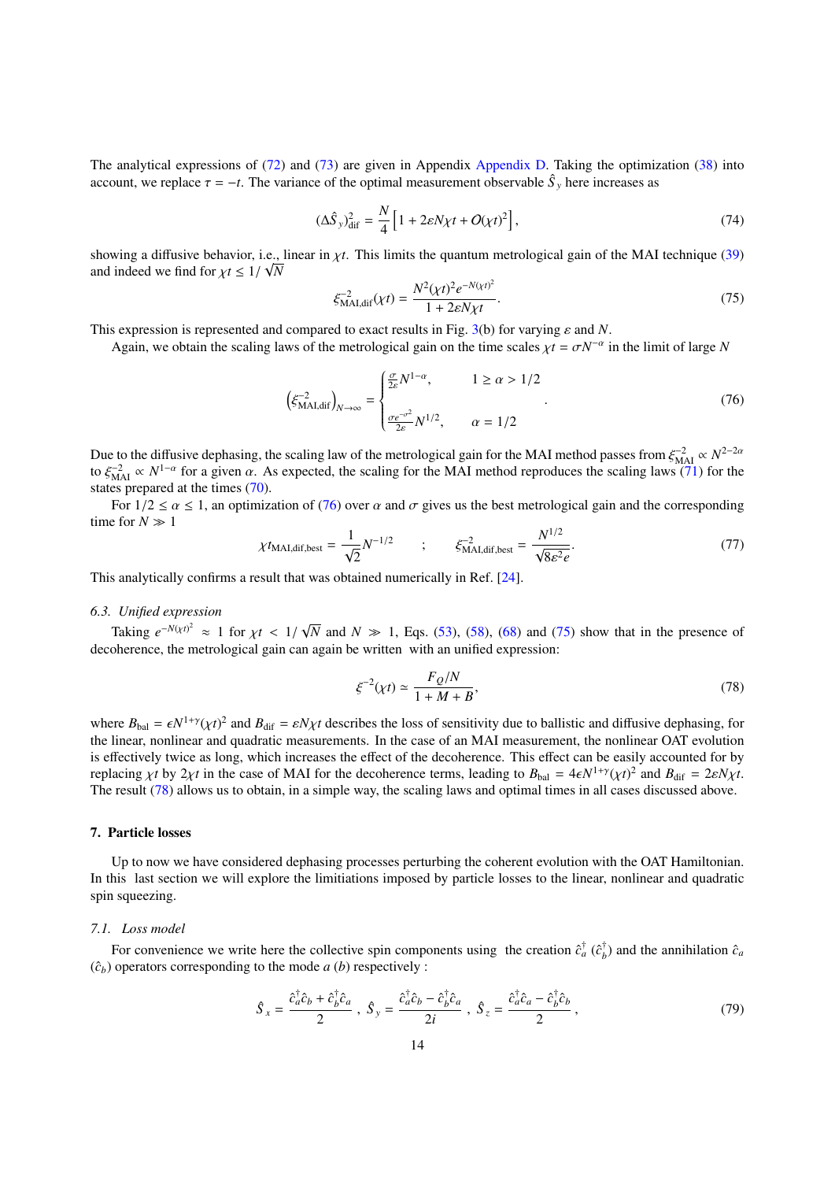The analytical expressions of [\(72\)](#page-12-4) and [\(73\)](#page-12-5) are given in Appendix [Appendix D.](#page-19-0) Taking the optimization [\(38\)](#page-7-2) into account, we replace  $\tau = -t$ . The variance of the optimal measurement observable  $\hat{S}_y$  here increases as

$$
(\Delta \hat{S}_y)_{\text{dif}}^2 = \frac{N}{4} \left[ 1 + 2\varepsilon N \chi t + O(\chi t)^2 \right],\tag{74}
$$

showing a diffusive behavior, i.e., linear in  $\chi t$ . This limits the quantum metrological gain of the MAI technique [\(39\)](#page-7-3) and indeed we find for  $\chi t < 1/\sqrt{N}$ and indeed we find for  $\chi t \leq 1/\sqrt{N}$ 

<span id="page-13-1"></span><span id="page-13-0"></span>
$$
\xi_{\text{MAI},\text{dif}}^{-2}(\chi t) = \frac{N^2(\chi t)^2 e^{-N(\chi t)^2}}{1 + 2\varepsilon N \chi t}.
$$
\n(75)

This expression is represented and compared to exact results in Fig. [3\(](#page-11-0)b) for varying  $\varepsilon$  and *N*.<br>Again, we obtain the scaling laws of the metrological gain on the time scales  $v t - \sigma N^{-\alpha}$ 

Again, we obtain the scaling laws of the metrological gain on the time scales  $\chi t = \sigma N^{-\alpha}$  in the limit of large *N* 

$$
\left(\xi_{\text{MAI},\text{dif}}^{-2}\right)_{N\to\infty} = \begin{cases} \frac{\sigma}{2\varepsilon}N^{1-\alpha}, & 1 \ge \alpha > 1/2\\ \frac{\sigma e^{-\sigma^2}}{2\varepsilon}N^{1/2}, & \alpha = 1/2 \end{cases} \tag{76}
$$

Due to the diffusive dephasing, the scaling law of the metrological gain for the MAI method passes from  $\xi_{\text{A}}^{-2} \propto N^{1-\alpha}$  for a given  $\alpha$ . As expected, the scaling for the MAI method reproduces the scaling laws (71) to  $\xi_{\text{MAI}}^{-2} \propto N^{1-\alpha}$  for a given  $\alpha$ . As expected, the scaling for the MAI method reproduces the scaling laws [\(71\)](#page-12-3) for the states prepared at the times (70) states prepared at the times [\(70\)](#page-12-2).

For  $1/2 \le \alpha \le 1$ , an optimization of [\(76\)](#page-13-1) over  $\alpha$  and  $\sigma$  gives us the best metrological gain and the corresponding time for  $N \gg 1$ 

$$
\chi t_{\text{MAI,dif,best}} = \frac{1}{\sqrt{2}} N^{-1/2} \qquad ; \qquad \xi_{\text{MAI,dif,best}}^{-2} = \frac{N^{1/2}}{\sqrt{8\varepsilon^2 e}}.
$$
\n(77)

This analytically confirms a result that was obtained numerically in Ref. [\[24\]](#page-22-6).

#### *6.3. Unified expression*

Taking  $e^{-N(\chi t)^2} \approx 1$  for  $\chi t < 1/2$ <br>oberence the metrological gain com-√ *N* and  $N \gg 1$ , Eqs. [\(53\)](#page-9-0), [\(58\)](#page-10-2), [\(68\)](#page-12-1) and [\(75\)](#page-13-0) show that in the presence of decoherence, the metrological gain can again be written with an unified expression:

<span id="page-13-2"></span>
$$
\xi^{-2}(\chi t) \simeq \frac{F_Q/N}{1 + M + B},\tag{78}
$$

where  $B_{\text{bal}} = \epsilon N^{1+\gamma} (\chi t)^2$  and  $B_{\text{dif}} = \epsilon N \chi t$  describes the loss of sensitivity due to ballistic and diffusive dephasing, for the linear, nonlinear and quadratic measurements. In the case of an MAI measurement, the nonlinear OAT evolution is effectively twice as long, which increases the effect of the decoherence. This effect can be easily accounted for by replacing *χt* by 2*χt* in the case of MAI for the decoherence terms, leading to  $B_{bal} = 4\epsilon N^{1+\gamma} (\chi t)^2$  and  $B_{dif} = 2\epsilon N \chi t$ .<br>The result (78) allows us to obtain in a simple way the scaling laws and optimal times in all ca The result [\(78\)](#page-13-2) allows us to obtain, in a simple way, the scaling laws and optimal times in all cases discussed above.

#### 7. Particle losses

Up to now we have considered dephasing processes perturbing the coherent evolution with the OAT Hamiltonian. In this last section we will explore the limitiations imposed by particle losses to the linear, nonlinear and quadratic spin squeezing.

#### *7.1. Loss model*

For convenience we write here the collective spin components using the creation  $\hat{c}_a^{\dagger}$  ( $\hat{c}_b^{\dagger}$ )  $\hat{c}_a^{\dagger}$ ) and the annihilation  $\hat{c}_a$  $(\hat{c}_b)$  operators corresponding to the mode *a* (*b*) respectively :

$$
\hat{S}_x = \frac{\hat{c}_a^{\dagger} \hat{c}_b + \hat{c}_b^{\dagger} \hat{c}_a}{2} , \ \hat{S}_y = \frac{\hat{c}_a^{\dagger} \hat{c}_b - \hat{c}_b^{\dagger} \hat{c}_a}{2i} , \ \hat{S}_z = \frac{\hat{c}_a^{\dagger} \hat{c}_a - \hat{c}_b^{\dagger} \hat{c}_b}{2} , \tag{79}
$$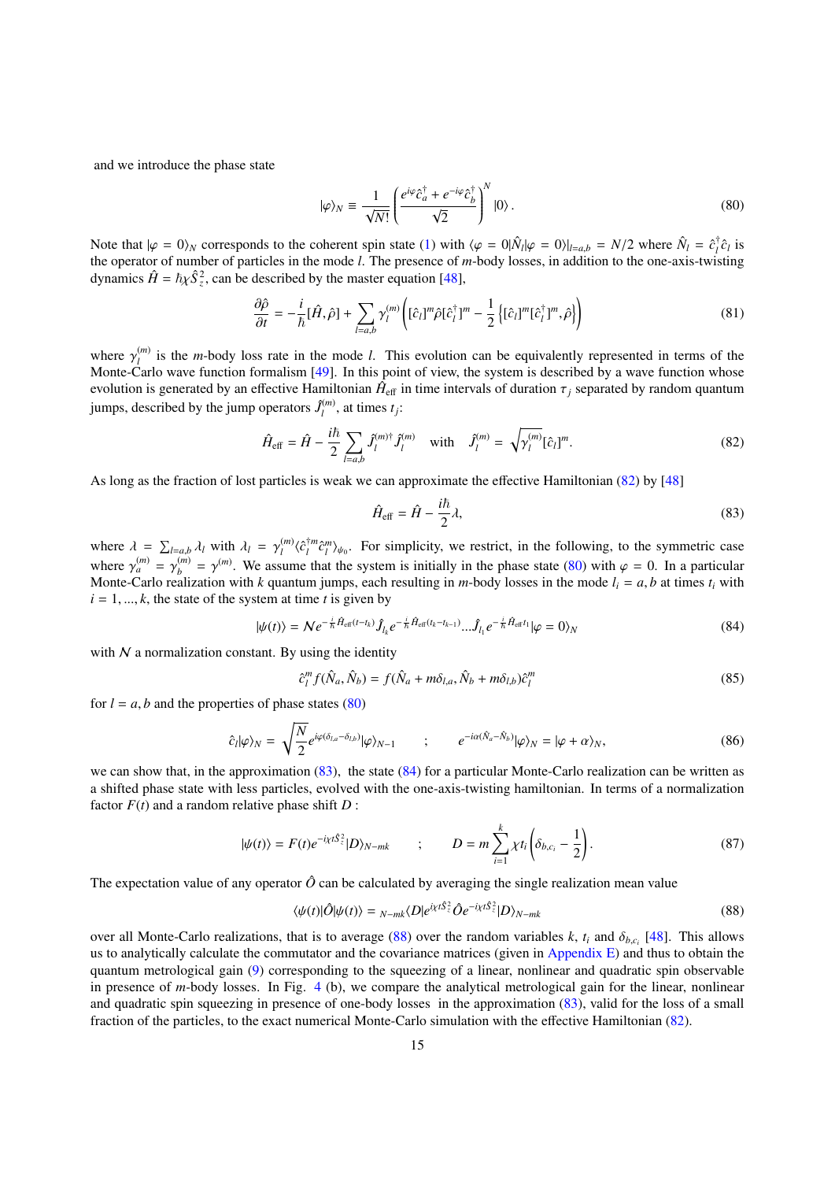and we introduce the phase state

<span id="page-14-1"></span>
$$
|\varphi\rangle_N \equiv \frac{1}{\sqrt{N!}} \left( \frac{e^{i\varphi} \hat{c}_a^{\dagger} + e^{-i\varphi} \hat{c}_b^{\dagger}}{\sqrt{2}} \right)^N |0\rangle. \tag{80}
$$

Note that  $|\varphi = 0\rangle_N$  corresponds to the coherent spin state [\(1\)](#page-1-1) with  $\langle \varphi = 0 | \hat{N}_l | \varphi = 0 \rangle |_{l=a,b} = N/2$  where  $\hat{N}_l = \hat{c}_l^{\dagger}$ <br>the operator of number of particles in the mode *l*. The presence of *m*-body losses in  $\int_l^{\tau} \hat{c}_l$  is the operator of number of particles in the mode *l*. The presence of *m*-body losses, in addition to the one-axis-twisting dynamics  $\hat{H} = \hbar \chi \hat{S}_z^2$ , can be described by the master equation [\[48\]](#page-22-30),

$$
\frac{\partial \hat{\rho}}{\partial t} = -\frac{i}{\hbar} [\hat{H}, \hat{\rho}] + \sum_{l=a,b} \gamma_l^{(m)} \left( [\hat{c}_l]^m \hat{\rho} [\hat{c}_l^{\dagger}]^m - \frac{1}{2} \left\{ [\hat{c}_l]^m [\hat{c}_l^{\dagger}]^m, \hat{\rho} \right\} \right)
$$
(81)

where  $\gamma_l^{(m)}$ <br>Monte-Car  $\binom{m}{l}$  is the *m*-body loss rate in the mode *l*. This evolution can be equivalently represented in terms of the Monte-Carlo wave function formalism [\[49\]](#page-22-31). In this point of view, the system is described by a wave function whose evolution is generated by an effective Hamiltonian  $\hat{H}_{\text{eff}}$  in time intervals of duration  $\tau_j$  separated by random quantum<br>iumns, described by the jumn operators,  $\hat{I}^{(m)}$  at times t. jumps, described by the jump operators  $\hat{J}_l^{(m)}$  $\binom{m}{l}$ , at times  $t_j$ :

$$
\hat{H}_{\text{eff}} = \hat{H} - \frac{i\hbar}{2} \sum_{l=a,b} \hat{J}_l^{(m)\dagger} \hat{J}_l^{(m)} \quad \text{with} \quad \hat{J}_l^{(m)} = \sqrt{\gamma_l^{(m)}} [\hat{c}_l]^m. \tag{82}
$$

As long as the fraction of lost particles is weak we can approximate the effective Hamiltonian [\(82\)](#page-14-0) by [\[48\]](#page-22-30)

<span id="page-14-3"></span><span id="page-14-2"></span><span id="page-14-0"></span>
$$
\hat{H}_{\text{eff}} = \hat{H} - \frac{i\hbar}{2}\lambda,\tag{83}
$$

where  $\lambda = \sum_{l=a,b} \lambda_l$  with  $\lambda_l = \gamma_l^{(m)}$ <br>where  $\lambda_l^{(m)} = \lambda_l^{(m)} = \lambda_l^{(m)}$ . We assume  $\langle \hat{c}_l^{\dagger m} \hat{c}_l^m \rangle_{\psi_0}$ . For simplicity, we restrict, in the following, to the symmetric case where  $\gamma_a^{(m)} = \gamma_b^{(m)}$ <br>Monte-Carlo reali  $b_b^{(m)} = \gamma^{(m)}$ . We assume that the system is initially in the phase state [\(80\)](#page-14-1) with  $\varphi = 0$ . In a particular particular is the phase state (80) with  $\varphi = 0$ . In a particular Monte-Carlo realization with *k* quantum jumps, each resulting in *m*-body losses in the mode  $l_i = a$ , *b* at times  $t_i$  with  $i = 1, \ldots, k$ , the state of the system at time *t* is given by

$$
|\psi(t)\rangle = N e^{-\frac{i}{\hbar}\hat{H}_{\text{eff}}(t-t_k)} \hat{J}_{l_k} e^{-\frac{i}{\hbar}\hat{H}_{\text{eff}}(t_k-t_{k-1})} ... \hat{J}_{l_1} e^{-\frac{i}{\hbar}\hat{H}_{\text{eff}}t_1} |\varphi = 0\rangle_N
$$
 (84)

with  $N$  a normalization constant. By using the identity

$$
\hat{c}_l^m f(\hat{N}_a, \hat{N}_b) = f(\hat{N}_a + m\delta_{l,a}, \hat{N}_b + m\delta_{l,b})\hat{c}_l^m
$$
\n(85)

for  $l = a$ , *b* and the properties of phase states [\(80\)](#page-14-1)

$$
\hat{c}_l|\varphi\rangle_N = \sqrt{\frac{N}{2}}e^{i\varphi(\delta_{l,a}-\delta_{l,b})}|\varphi\rangle_{N-1} \qquad ; \qquad e^{-i\alpha(\hat{N}_a-\hat{N}_b)}|\varphi\rangle_N = |\varphi+\alpha\rangle_N, \tag{86}
$$

we can show that, in the approximation  $(83)$ , the state  $(84)$  for a particular Monte-Carlo realization can be written as a shifted phase state with less particles, evolved with the one-axis-twisting hamiltonian. In terms of a normalization factor  $F(t)$  and a random relative phase shift  $D$  :

$$
|\psi(t)\rangle = F(t)e^{-i\chi t\hat{S}_z^2}|D\rangle_{N-mk} \qquad ; \qquad D = m\sum_{i=1}^k \chi t_i \left(\delta_{b,c_i} - \frac{1}{2}\right). \tag{87}
$$

The expectation value of any operator  $\hat{O}$  can be calculated by averaging the single realization mean value

<span id="page-14-4"></span>
$$
\langle \psi(t) | \hat{O} | \psi(t) \rangle = \gamma_{-mk} \langle D | e^{i\chi t \hat{S}_z^2} \hat{O} e^{-i\chi t \hat{S}_z^2} | D \rangle_{N-mk} \tag{88}
$$

over all Monte-Carlo realizations, that is to average [\(88\)](#page-14-4) over the random variables *k*,  $t_i$  and  $\delta_{b,c_i}$  [\[48\]](#page-22-30). This allows<br>us to analytically calculate the commutator and the covariance matrices (given in Appendix F) us to analytically calculate the commutator and the covariance matrices (given in Appendix  $E$ ) and thus to obtain the quantum metrological gain [\(9\)](#page-2-4) corresponding to the squeezing of a linear, nonlinear and quadratic spin observable in presence of *m*-body losses. In Fig. [4](#page-15-0) (b), we compare the analytical metrological gain for the linear, nonlinear and quadratic spin squeezing in presence of one-body losses in the approximation [\(83\)](#page-14-2), valid for the loss of a small fraction of the particles, to the exact numerical Monte-Carlo simulation with the effective Hamiltonian [\(82\)](#page-14-0).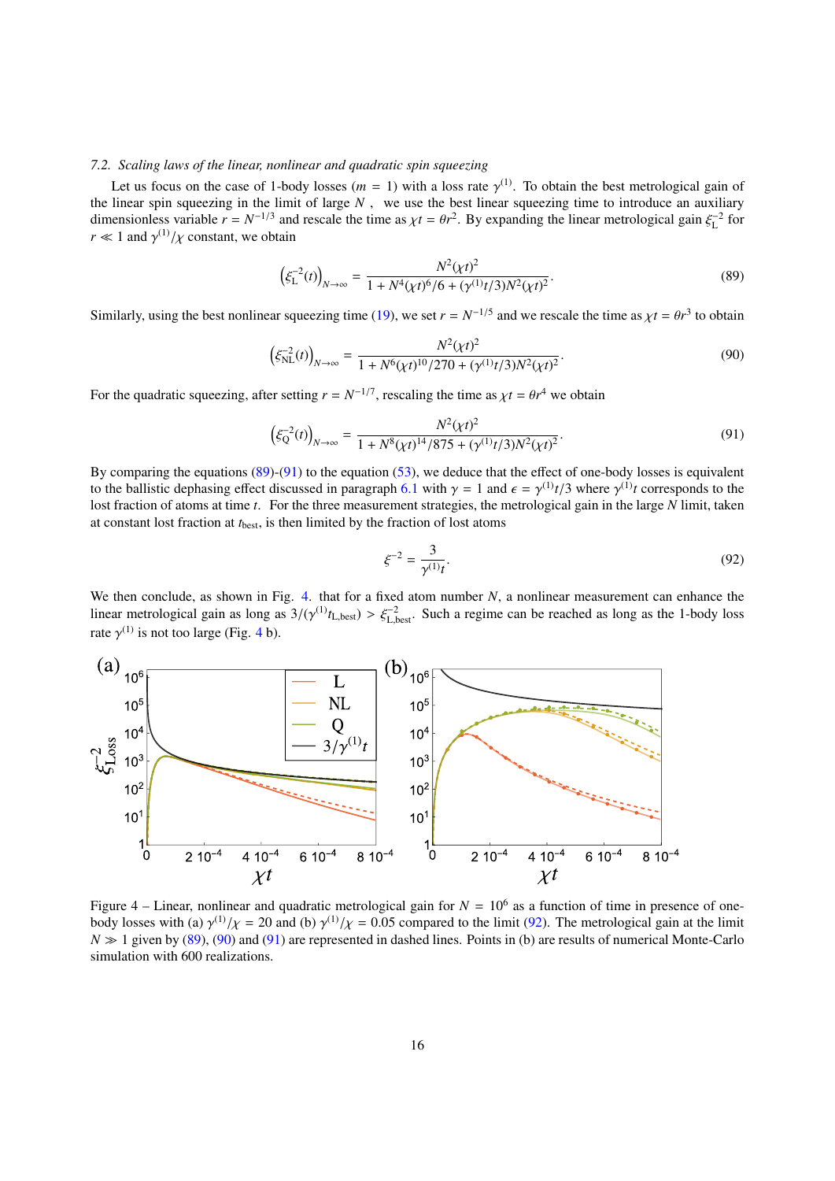#### *7.2. Scaling laws of the linear, nonlinear and quadratic spin squeezing*

Let us focus on the case of 1-body losses ( $m = 1$ ) with a loss rate  $\gamma^{(1)}$ . To obtain the best metrological gain of linear squeezing in the limit of large  $N$ , we use the best linear squeezing time to introduce an auxil the linear spin squeezing in the limit of large *N* , we use the best linear squeezing time to introduce an auxiliary dimensionless variable  $r = N^{-1/3}$  and rescale the time as  $\chi t = \theta r^2$ . By expanding the linear metrological gain  $\xi_L^{-2}$  for *r*  $\ll$  1 and  $\gamma^{(1)}/\chi$  constant, we obtain

<span id="page-15-1"></span>
$$
\left(\xi_{\rm L}^{-2}(t)\right)_{N \to \infty} = \frac{N^2(\chi t)^2}{1 + N^4(\chi t)^6/6 + (\gamma^{(1)}t/3)N^2(\chi t)^2}.
$$
\n(89)

Similarly, using the best nonlinear squeezing time [\(19\)](#page-4-5), we set  $r = N^{-1/5}$  and we rescale the time as  $\chi t = \theta r^3$  to obtain

$$
\left(\xi_{\rm NL}^{-2}(t)\right)_{N \to \infty} = \frac{N^2(\chi t)^2}{1 + N^6(\chi t)^{10}/270 + (\gamma^{(1)}t/3)N^2(\chi t)^2}.
$$
\n(90)

For the quadratic squeezing, after setting  $r = N^{-1/7}$ , rescaling the time as  $\chi t = \theta r^4$  we obtain

$$
\left(\xi_Q^{-2}(t)\right)_{N\to\infty} = \frac{N^2(\chi t)^2}{1 + N^8(\chi t)^{14}/875 + (\gamma^{(1)}t/3)N^2(\chi t)^2}.
$$
\n(91)

By comparing the equations [\(89\)](#page-15-1)-[\(91\)](#page-15-2) to the equation [\(53\)](#page-9-0), we deduce that the effect of one-body losses is equivalent to the ballistic dephasing effect discussed in paragraph [6.1](#page-9-1) with  $\gamma = 1$  and  $\epsilon = \gamma^{(1)}t/3$  where  $\gamma^{(1)}t$  corresponds to the local contraction of atoms at time t. For the three measurement strategies, the metrological lost fraction of atoms at time *t*. For the three measurement strategies, the metrological gain in the large *N* limit, taken at constant lost fraction at *t*best, is then limited by the fraction of lost atoms

<span id="page-15-4"></span><span id="page-15-3"></span><span id="page-15-2"></span>
$$
\xi^{-2} = \frac{3}{\gamma^{(1)}t}.\tag{92}
$$

We then conclude, as shown in Fig. [4.](#page-15-0) that for a fixed atom number *N*, a nonlinear measurement can enhance the linear metrological gain as long as  $3/(\gamma^{(1)}t_{\text{L},best}) > \xi_{\text{L},best}^{-2}$ . Such a regime can be reached as long as the 1-body loss rate  $\gamma^{(1)}$  is not too large (Fig. [4](#page-15-0) b).

<span id="page-15-0"></span>

Figure 4 – Linear, nonlinear and quadratic metrological gain for  $N = 10^6$  as a function of time in presence of onebody losses with (a)  $\gamma^{(1)}/\chi = 20$  and (b)  $\gamma^{(1)}/\chi = 0.05$  compared to the limit [\(92\)](#page-15-3). The metrological gain at the limit  $N \gg 1$  given by (89). (90) and (91) are represented in dashed lines. Points in (b) are results  $N \gg 1$  given by [\(89\)](#page-15-1), [\(90\)](#page-15-4) and [\(91\)](#page-15-2) are represented in dashed lines. Points in (b) are results of numerical Monte-Carlo simulation with 600 realizations.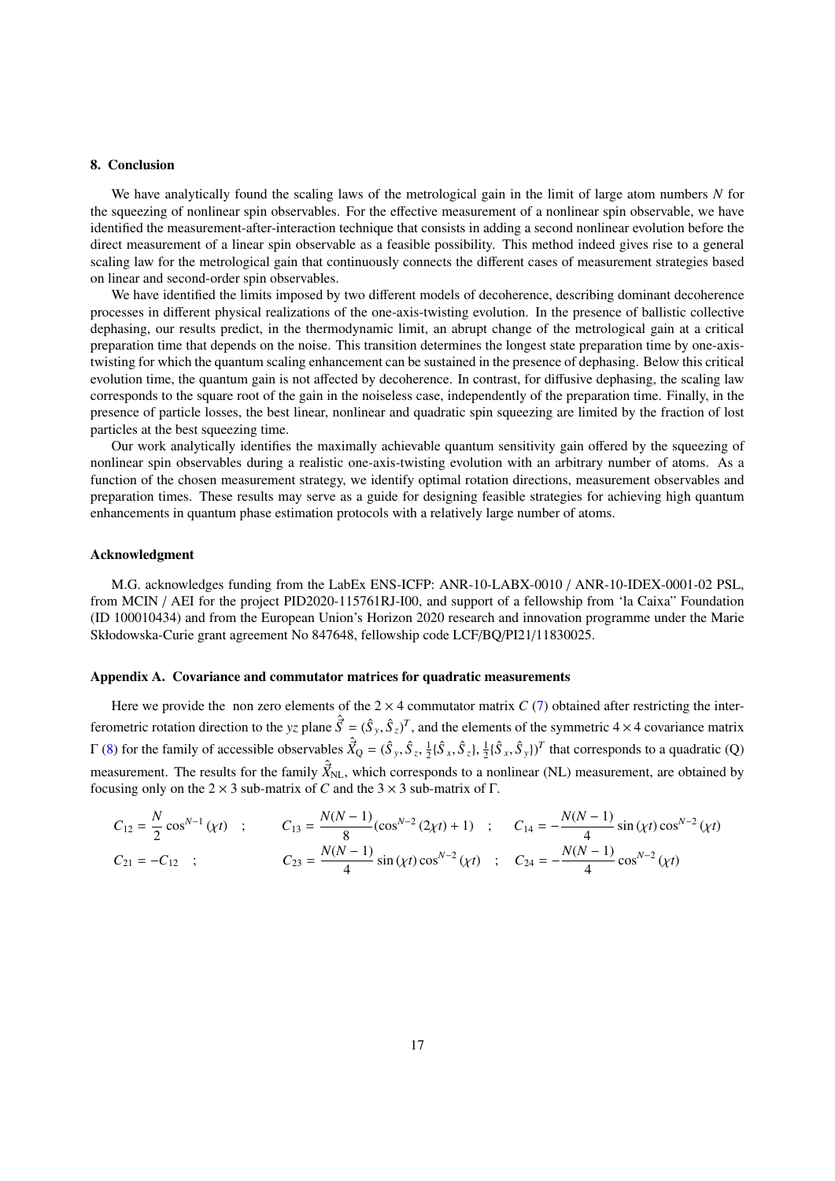#### 8. Conclusion

We have analytically found the scaling laws of the metrological gain in the limit of large atom numbers *N* for the squeezing of nonlinear spin observables. For the effective measurement of a nonlinear spin observable, we have identified the measurement-after-interaction technique that consists in adding a second nonlinear evolution before the direct measurement of a linear spin observable as a feasible possibility. This method indeed gives rise to a general scaling law for the metrological gain that continuously connects the different cases of measurement strategies based on linear and second-order spin observables.

We have identified the limits imposed by two different models of decoherence, describing dominant decoherence processes in different physical realizations of the one-axis-twisting evolution. In the presence of ballistic collective dephasing, our results predict, in the thermodynamic limit, an abrupt change of the metrological gain at a critical preparation time that depends on the noise. This transition determines the longest state preparation time by one-axistwisting for which the quantum scaling enhancement can be sustained in the presence of dephasing. Below this critical evolution time, the quantum gain is not affected by decoherence. In contrast, for diffusive dephasing, the scaling law corresponds to the square root of the gain in the noiseless case, independently of the preparation time. Finally, in the presence of particle losses, the best linear, nonlinear and quadratic spin squeezing are limited by the fraction of lost particles at the best squeezing time.

Our work analytically identifies the maximally achievable quantum sensitivity gain offered by the squeezing of nonlinear spin observables during a realistic one-axis-twisting evolution with an arbitrary number of atoms. As a function of the chosen measurement strategy, we identify optimal rotation directions, measurement observables and preparation times. These results may serve as a guide for designing feasible strategies for achieving high quantum enhancements in quantum phase estimation protocols with a relatively large number of atoms.

#### Acknowledgment

M.G. acknowledges funding from the LabEx ENS-ICFP: ANR-10-LABX-0010 / ANR-10-IDEX-0001-02 PSL, from MCIN / AEI for the project PID2020-115761RJ-I00, and support of a fellowship from 'la Caixa" Foundation (ID 100010434) and from the European Union's Horizon 2020 research and innovation programme under the Marie Skłodowska-Curie grant agreement No 847648, fellowship code LCF/BQ/PI21/11830025.

#### <span id="page-16-0"></span>Appendix A. Covariance and commutator matrices for quadratic measurements

Here we provide the non zero elements of the  $2 \times 4$  commutator matrix *C* [\(7\)](#page-2-2) obtained after restricting the interferometric rotation direction to the *yz* plane  $\hat{S} = (\hat{S}_y, \hat{S}_z)^T$ , and the elements of the symmetric 4 × 4 covariance matrix  $\Gamma$  [\(8\)](#page-2-3) for the family of accessible observables  $\hat{X}_Q = (\hat{S}_y, \hat{S}_z, \frac{1}{2} \{\hat{S}_x, \hat{S}_z\}, \frac{1}{2} \{\hat{S}_x, \hat{S}_y\})^T$  that corresponds to a quadratic (Q) measurement. The results for the family  $\hat{X}_{\text{NL}}$ , which corresponds to a nonlinear (NL) measurement, are obtained by focusing only on the  $2 \times 3$  sub-matrix of *C* and the  $3 \times 3$  sub-matrix of *Γ*.

$$
C_{12} = \frac{N}{2} \cos^{N-1}(\chi t) \quad ; \qquad C_{13} = \frac{N(N-1)}{8} (\cos^{N-2} (2\chi t) + 1) \quad ; \qquad C_{14} = -\frac{N(N-1)}{4} \sin(\chi t) \cos^{N-2} (\chi t)
$$
  

$$
C_{21} = -C_{12} \quad ; \qquad C_{23} = \frac{N(N-1)}{4} \sin(\chi t) \cos^{N-2} (\chi t) \quad ; \quad C_{24} = -\frac{N(N-1)}{4} \cos^{N-2} (\chi t)
$$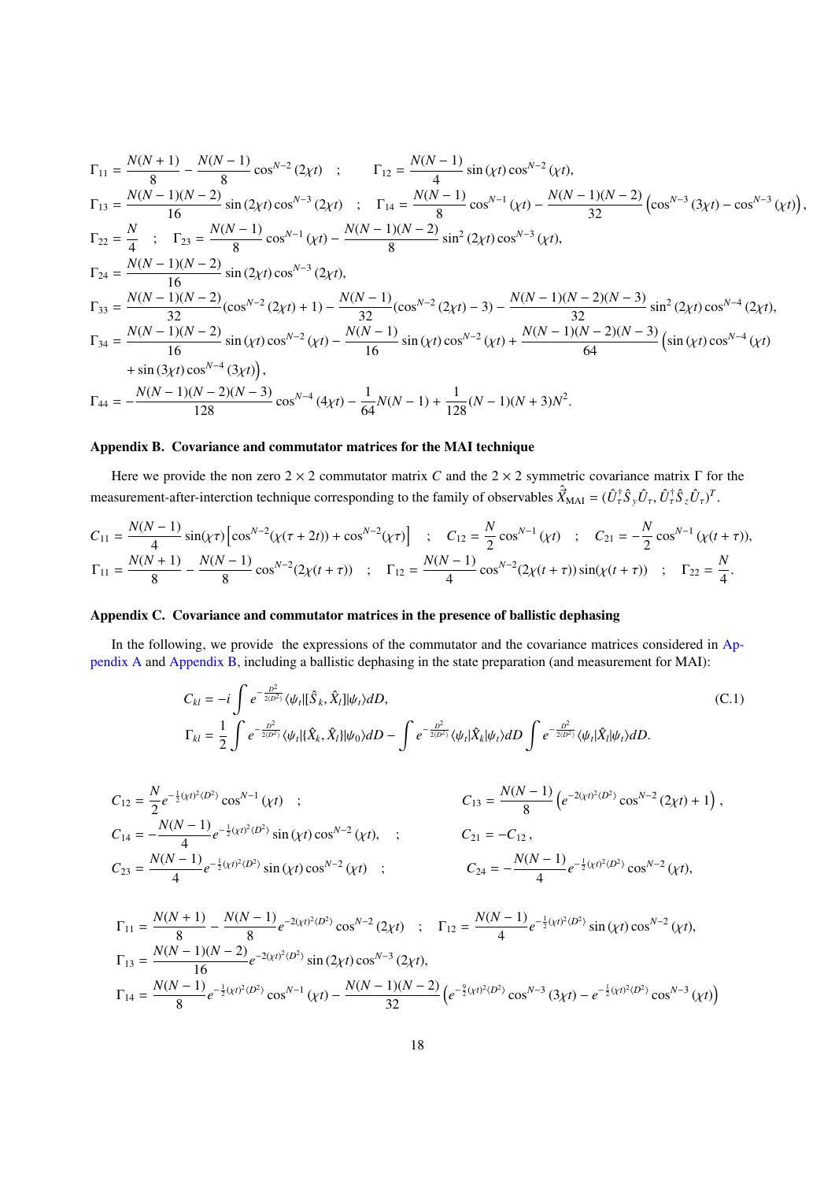$$
\Gamma_{11} = \frac{N(N+1)}{8} - \frac{N(N-1)}{8} \cos^{N-2}(2\chi t) ; \qquad \Gamma_{12} = \frac{N(N-1)}{4} \sin(\chi t) \cos^{N-2}(\chi t),
$$
\n
$$
\Gamma_{13} = \frac{N(N-1)(N-2)}{16} \sin(2\chi t) \cos^{N-3}(2\chi t) ; \qquad \Gamma_{14} = \frac{N(N-1)}{8} \cos^{N-1}(\chi t) - \frac{N(N-1)(N-2)}{32} \left(\cos^{N-3}(3\chi t) - \cos^{N-3}(\chi t)\right),
$$
\n
$$
\Gamma_{22} = \frac{N}{4} ; \qquad \Gamma_{23} = \frac{N(N-1)}{8} \cos^{N-1}(\chi t) - \frac{N(N-1)(N-2)}{8} \sin^2(2\chi t) \cos^{N-3}(\chi t),
$$
\n
$$
\Gamma_{24} = \frac{N(N-1)(N-2)}{16} \sin(2\chi t) \cos^{N-3}(2\chi t),
$$
\n
$$
\Gamma_{33} = \frac{N(N-1)(N-2)}{32} (\cos^{N-2}(2\chi t) + 1) - \frac{N(N-1)}{32} (\cos^{N-2}(2\chi t) - 3) - \frac{N(N-1)(N-2)(N-3)}{32} \sin^2(2\chi t) \cos^{N-4}(2\chi t),
$$
\n
$$
\Gamma_{34} = \frac{N(N-1)(N-2)}{16} \sin(\chi t) \cos^{N-2}(\chi t) - \frac{N(N-1)}{16} \sin(\chi t) \cos^{N-2}(\chi t) + \frac{N(N-1)(N-2)(N-3)}{64} \left(\sin(\chi t) \cos^{N-4}(\chi t) - \frac{1}{128} \cos^{N-4}(3\chi t)\right),
$$
\n
$$
\Gamma_{44} = -\frac{N(N-1)(N-2)(N-3)}{128} \cos^{N-4}(4\chi t) - \frac{1}{64} N(N-1) + \frac{1}{128} (N-1)(N+3)N^2.
$$

## <span id="page-17-0"></span>Appendix B. Covariance and commutator matrices for the MAI technique

Here we provide the non zero 2 × 2 commutator matrix *C* and the 2 × 2 symmetric covariance matrix Γ for the measurement-after-interction technique corresponding to the family of observables  $\hat{X}_{\text{MAI}} = (\hat{U}_{\tau}^{\dagger} \hat{S}_{y} \hat{U}_{\tau}, \hat{U}_{\tau}^{\dagger} \hat{S}_{z} \hat{U}_{\tau})^{T}$ .

$$
C_{11} = \frac{N(N-1)}{4} \sin(\chi \tau) \left[ \cos^{N-2}(\chi(\tau + 2t)) + \cos^{N-2}(\chi \tau) \right] ; \quad C_{12} = \frac{N}{2} \cos^{N-1}(\chi t) ; \quad C_{21} = -\frac{N}{2} \cos^{N-1}(\chi(t + \tau)),
$$
  
\n
$$
\Gamma_{11} = \frac{N(N+1)}{8} - \frac{N(N-1)}{8} \cos^{N-2}(2\chi(t + \tau)) ; \quad \Gamma_{12} = \frac{N(N-1)}{4} \cos^{N-2}(2\chi(t + \tau)) \sin(\chi(t + \tau)) ; \quad \Gamma_{22} = \frac{N}{4}.
$$

## <span id="page-17-1"></span>Appendix C. Covariance and commutator matrices in the presence of ballistic dephasing

In the following, we provide the expressions of the commutator and the covariance matrices considered in [Ap](#page-16-0)[pendix A](#page-16-0) and [Appendix B,](#page-17-0) including a ballistic dephasing in the state preparation (and measurement for MAI):

$$
C_{kl} = -i \int e^{-\frac{D^2}{2(D^2)}} \langle \psi_t | [\hat{S}_k, \hat{X}_l] | \psi_t \rangle dD,
$$
  
\n
$$
\Gamma_{kl} = \frac{1}{2} \int e^{-\frac{D^2}{2(D^2)}} \langle \psi_t | [\hat{X}_k, \hat{X}_l] | \psi_0 \rangle dD - \int e^{-\frac{D^2}{2(D^2)}} \langle \psi_t | \hat{X}_k | \psi_t \rangle dD \int e^{-\frac{D^2}{2(D^2)}} \langle \psi_t | \hat{X}_l | \psi_t \rangle dD.
$$
\n(C.1)

$$
C_{12} = \frac{N}{2} e^{-\frac{1}{2}(\chi t)^2 \langle D^2 \rangle} \cos^{N-1} (\chi t) ;
$$
\n
$$
C_{13} = \frac{N(N-1)}{8} \left( e^{-2(\chi t)^2 \langle D^2 \rangle} \cos^{N-2} (2\chi t) + 1 \right),
$$
\n
$$
C_{14} = -\frac{N(N-1)}{4} e^{-\frac{1}{2}(\chi t)^2 \langle D^2 \rangle} \sin (\chi t) \cos^{N-2} (\chi t) ;
$$
\n
$$
C_{21} = -C_{12},
$$
\n
$$
C_{23} = \frac{N(N-1)}{4} e^{-\frac{1}{2}(\chi t)^2 \langle D^2 \rangle} \sin (\chi t) \cos^{N-2} (\chi t) ;
$$
\n
$$
C_{24} = -\frac{N(N-1)}{4} e^{-\frac{1}{2}(\chi t)^2 \langle D^2 \rangle} \cos^{N-2} (\chi t),
$$

$$
\Gamma_{11} = \frac{N(N+1)}{8} - \frac{N(N-1)}{8} e^{-2(\chi t)^2 \langle D^2 \rangle} \cos^{N-2}(2\chi t) \quad ; \quad \Gamma_{12} = \frac{N(N-1)}{4} e^{-\frac{1}{2}(\chi t)^2 \langle D^2 \rangle} \sin(\chi t) \cos^{N-2}(\chi t),
$$
\n
$$
\Gamma_{13} = \frac{N(N-1)(N-2)}{16} e^{-2(\chi t)^2 \langle D^2 \rangle} \sin(2\chi t) \cos^{N-3}(2\chi t),
$$
\n
$$
\Gamma_{14} = \frac{N(N-1)}{8} e^{-\frac{1}{2}(\chi t)^2 \langle D^2 \rangle} \cos^{N-1}(\chi t) - \frac{N(N-1)(N-2)}{32} \left( e^{-\frac{9}{2}(\chi t)^2 \langle D^2 \rangle} \cos^{N-3}(3\chi t) - e^{-\frac{1}{2}(\chi t)^2 \langle D^2 \rangle} \cos^{N-3}(3\chi t) \right)
$$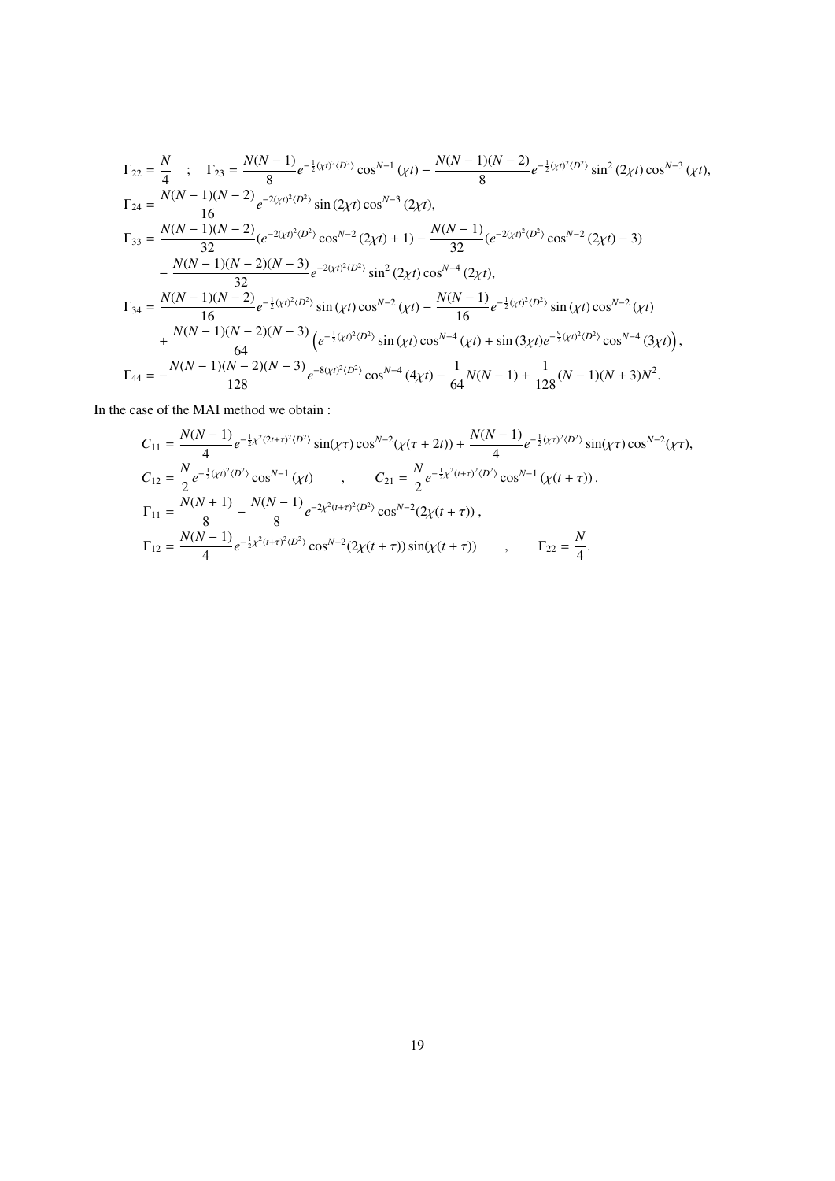$$
\Gamma_{22} = \frac{N}{4} \quad ; \quad \Gamma_{23} = \frac{N(N-1)}{8} e^{-\frac{1}{2}(xt)^2 \langle D^2 \rangle} \cos^{N-1} (\chi t) - \frac{N(N-1)(N-2)}{8} e^{-\frac{1}{2}(xt)^2 \langle D^2 \rangle} \sin^2 (2\chi t) \cos^{N-3} (\chi t),
$$
\n
$$
\Gamma_{24} = \frac{N(N-1)(N-2)}{16} e^{-2(\chi t)^2 \langle D^2 \rangle} \sin (2\chi t) \cos^{N-3} (2\chi t),
$$
\n
$$
\Gamma_{33} = \frac{N(N-1)(N-2)}{32} (e^{-2(\chi t)^2 \langle D^2 \rangle} \cos^{N-2} (2\chi t) + 1) - \frac{N(N-1)}{32} (e^{-2(\chi t)^2 \langle D^2 \rangle} \cos^{N-2} (2\chi t) - 3)
$$
\n
$$
- \frac{N(N-1)(N-2)(N-3)}{32} e^{-2(\chi t)^2 \langle D^2 \rangle} \sin^2 (2\chi t) \cos^{N-4} (2\chi t),
$$
\n
$$
\Gamma_{34} = \frac{N(N-1)(N-2)}{16} e^{-\frac{1}{2}(\chi t)^2 \langle D^2 \rangle} \sin (\chi t) \cos^{N-2} (\chi t) - \frac{N(N-1)}{16} e^{-\frac{1}{2}(\chi t)^2 \langle D^2 \rangle} \sin (\chi t) \cos^{N-2} (\chi t) + \frac{N(N-1)(N-2)(N-3)}{64} (e^{-\frac{1}{2}(\chi t)^2 \langle D^2 \rangle} \sin (\chi t) \cos^{N-4} (\chi t) + \sin (3\chi t) e^{-\frac{9}{2}(\chi t)^2 \langle D^2 \rangle} \cos^{N-4} (3\chi t)),
$$
\n
$$
\Gamma_{44} = -\frac{N(N-1)(N-2)(N-3)}{128} e^{-8(\chi t)^2 \langle D^2 \rangle} \cos^{N-4} (4\chi t) - \frac{1}{64} N(N-1) + \frac{1}{128} (N-1)(N+3) N^2.
$$

In the case of the MAI method we obtain :

$$
C_{11} = \frac{N(N-1)}{4}e^{-\frac{1}{2}\chi^2(2t+\tau)^2\langle D^2 \rangle}\sin(\chi\tau)\cos^{N-2}(\chi(\tau+2t)) + \frac{N(N-1)}{4}e^{-\frac{1}{2}(\chi\tau)^2\langle D^2 \rangle}\sin(\chi\tau)\cos^{N-2}(\chi\tau),
$$
  
\n
$$
C_{12} = \frac{N}{2}e^{-\frac{1}{2}(\chi t)^2\langle D^2 \rangle}\cos^{N-1}(\chi t) , \qquad C_{21} = \frac{N}{2}e^{-\frac{1}{2}\chi^2(t+\tau)^2\langle D^2 \rangle}\cos^{N-1}(\chi(t+\tau)).
$$
  
\n
$$
\Gamma_{11} = \frac{N(N+1)}{8} - \frac{N(N-1)}{8}e^{-2\chi^2(t+\tau)^2\langle D^2 \rangle}\cos^{N-2}(2\chi(t+\tau)),
$$
  
\n
$$
\Gamma_{12} = \frac{N(N-1)}{4}e^{-\frac{1}{2}\chi^2(t+\tau)^2\langle D^2 \rangle}\cos^{N-2}(2\chi(t+\tau))\sin(\chi(t+\tau)) , \qquad \Gamma_{22} = \frac{N}{4}.
$$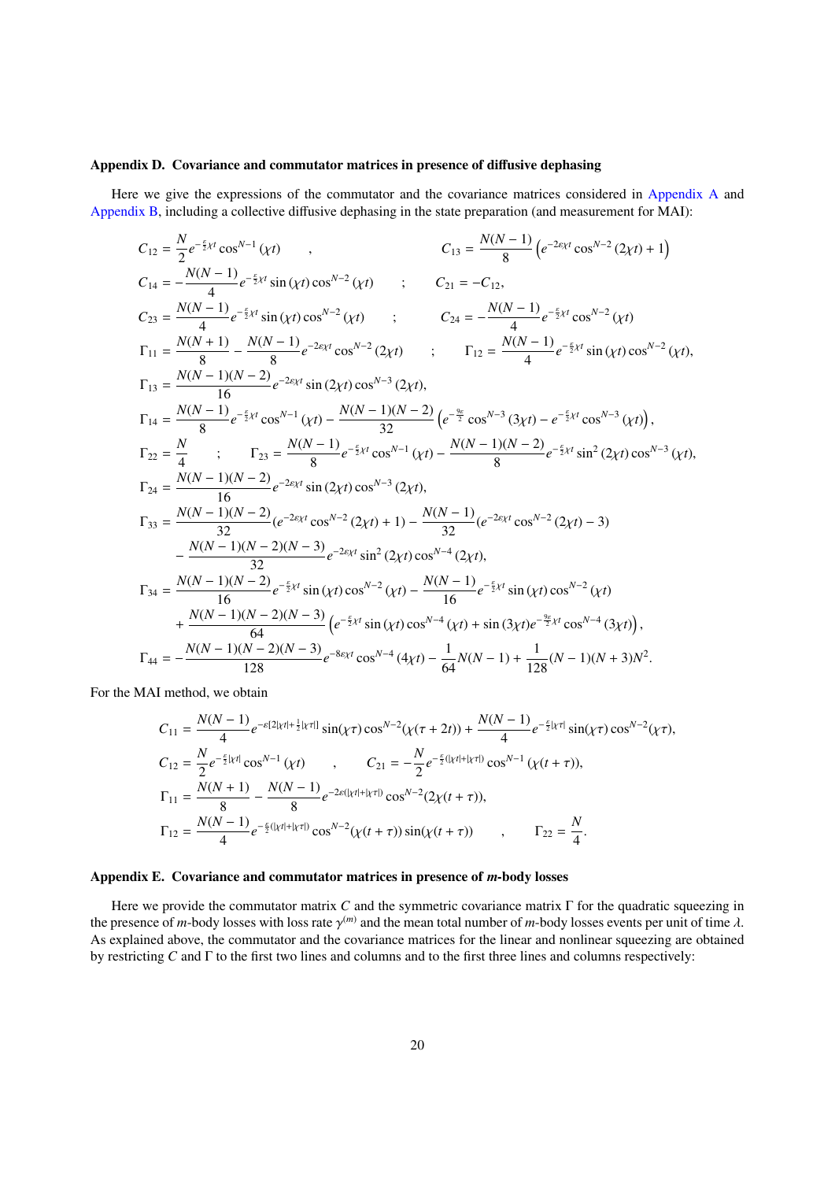### <span id="page-19-0"></span>Appendix D. Covariance and commutator matrices in presence of diffusive dephasing

Here we give the expressions of the commutator and the covariance matrices considered in [Appendix A](#page-16-0) and [Appendix B,](#page-17-0) including a collective diffusive dephasing in the state preparation (and measurement for MAI):

$$
C_{12} = \frac{N}{2}e^{-\frac{5}{2}xt}\cos^{N-1}(xt) , \qquad C_{13} = \frac{N(N-1)}{8}\left(e^{-2\epsilon_{X}t}\cos^{N-2}(2xt) + 1\right) C_{14} = -\frac{N(N-1)}{4}e^{-\frac{5}{2}xt}\sin(\chi t)\cos^{N-2}(\chi t) ; \qquad C_{21} = -C_{12}, C_{23} = \frac{N(N-1)}{4}e^{-\frac{5}{2}xt}\sin(\chi t)\cos^{N-2}(\chi t) ; \qquad C_{24} = -\frac{N(N-1)}{4}e^{-\frac{5}{2}xt}\cos^{N-2}(\chi t) C_{11} = \frac{N(N+1)}{8} - \frac{N(N-1)}{8}e^{-2\epsilon_{X}t}\cos^{N-2}(2xt) ; \qquad \Gamma_{12} = \frac{N(N-1)}{4}e^{-\frac{5}{2}xt}\sin(\chi t)\cos^{N-2}(\chi t), C_{13} = \frac{N(N-1)(N-2)}{8}e^{-2\epsilon_{X}t}\sin(2\chi t)\cos^{N-3}(2\chi t) ; \qquad \Gamma_{12} = \frac{N(N-1)}{4}e^{-\frac{5}{2}xt}\sin(\chi t)\cos^{N-2}(\chi t), C_{14} = \frac{N(N-1)(N-2)}{8}e^{-2\epsilon_{X}t}\sin(2\chi t)\cos^{N-3}(2\chi t), C_{14} = \frac{N(N-1)(N-2)}{8}e^{-\frac{5}{2}xt}\cos^{N-1}(\chi t) - \frac{N(N-1)(N-2)}{32}\left(e^{-\frac{5\epsilon}{2}}\cos^{N-3}(3\chi t) - e^{-\frac{5}{2}xt}\cos^{N-3}(3\chi t)\right), C_{22} = \frac{N}{4} ; \qquad \Gamma_{23} = \frac{N(N-1)}{16}e^{-2\epsilon_{X}t}\sin(2\chi t)\cos^{N-3}(2\chi t), C_{24} = \frac{N(N-1)(N-2)}{16}e^{-2\epsilon_{X}t}\sin(2\chi t)\cos^{N-3}(2\chi t), C_{25} = \frac{N(N-1)(N-2)}{16}e^{-2\epsilon_{X}t}\sin(2\chi t)\cos^{N-3}(2\chi t),
$$

For the MAI method, we obtain

$$
C_{11} = \frac{N(N-1)}{4}e^{-\varepsilon[2|\chi t| + \frac{1}{2}|\chi\tau|]} \sin(\chi\tau)\cos^{N-2}(\chi(\tau+2t)) + \frac{N(N-1)}{4}e^{-\frac{\varepsilon}{2}|\chi\tau|}\sin(\chi\tau)\cos^{N-2}(\chi\tau),
$$
  
\n
$$
C_{12} = \frac{N}{2}e^{-\frac{\varepsilon}{2}|\chi t|}\cos^{N-1}(\chi t) \qquad , \qquad C_{21} = -\frac{N}{2}e^{-\frac{\varepsilon}{2}(|\chi t| + |\chi\tau|)}\cos^{N-1}(\chi(t+\tau)),
$$
  
\n
$$
\Gamma_{11} = \frac{N(N+1)}{8} - \frac{N(N-1)}{8}e^{-2\varepsilon(|\chi t| + |\chi\tau|)}\cos^{N-2}(2\chi(t+\tau)),
$$
  
\n
$$
\Gamma_{12} = \frac{N(N-1)}{4}e^{-\frac{\varepsilon}{2}(|\chi t| + |\chi\tau|)}\cos^{N-2}(\chi(t+\tau))\sin(\chi(t+\tau)) \qquad , \qquad \Gamma_{22} = \frac{N}{4}.
$$

## <span id="page-19-1"></span>Appendix E. Covariance and commutator matrices in presence of *m*-body losses

Here we provide the commutator matrix *C* and the symmetric covariance matrix Γ for the quadratic squeezing in the presence of *m*-body losses with loss rate  $\gamma^{(m)}$  and the mean total number of *m*-body losses events per unit of time  $\lambda$ . As explained above, the commutator and the covariance matrices for the linear and nonlinear squeezing are obtained by restricting *C* and Γ to the first two lines and columns and to the first three lines and columns respectively: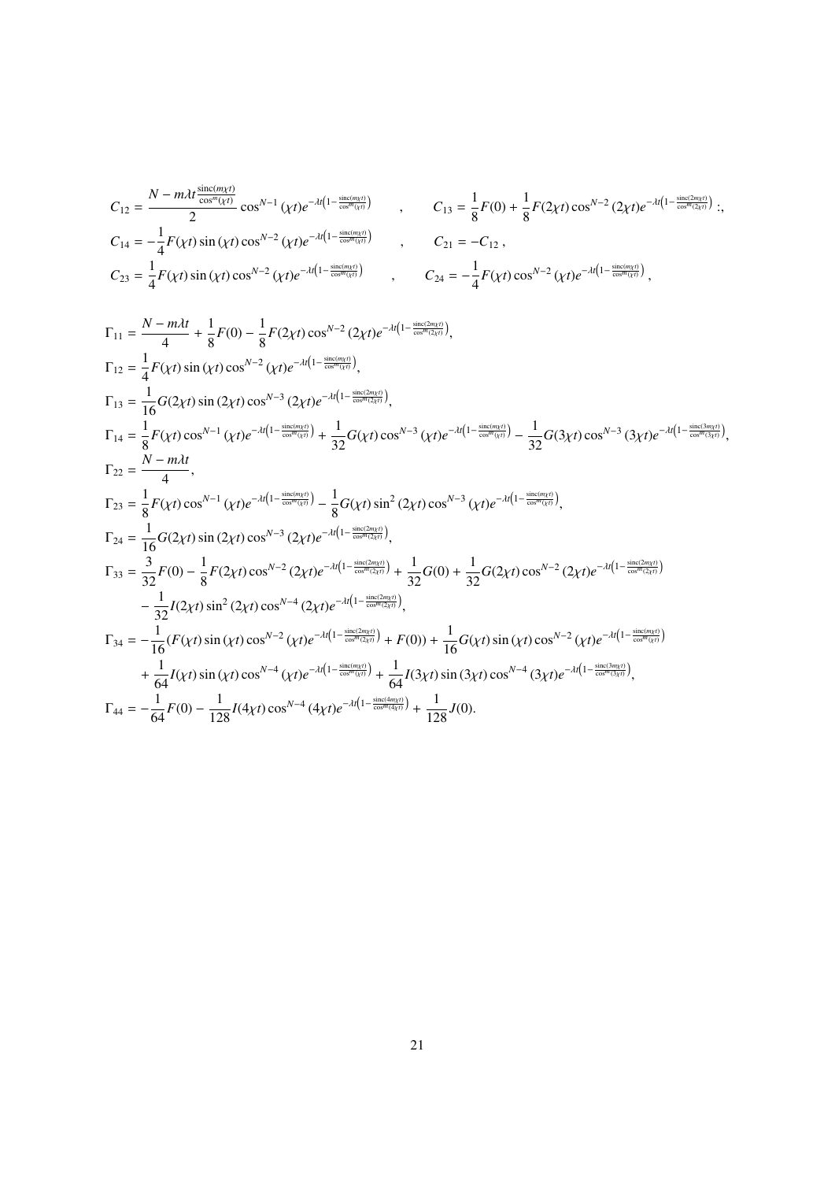$$
C_{12} = \frac{N - m \lambda t \frac{\sin(c(m\chi t)}{\cos^{m}(\chi t)}}{2} \cos^{N-1}(\chi t) e^{-\lambda t (1 - \frac{\sin(c(m\chi t)}{\cos^{m}(\chi t)})}, \qquad C_{13} = \frac{1}{8} F(0) + \frac{1}{8} F(2\chi t) \cos^{N-2}(2\chi t) e^{-\lambda t (1 - \frac{\sin(c(m\chi t)}{\cos^{m}(\chi t)})};
$$
  
\n
$$
C_{14} = -\frac{1}{4} F(\chi t) \sin(\chi t) \cos^{N-2}(\chi t) e^{-\lambda t (1 - \frac{\sin(c(m\chi t)}{\cos^{m}(\chi t)})}, \qquad C_{21} = -C_{12},
$$
  
\n
$$
C_{23} = \frac{1}{4} F(\chi t) \sin(\chi t) \cos^{N-2}(\chi t) e^{-\lambda t (1 - \frac{\sin(c(m\chi t)}{\cos^{m}(\chi t)})}, \qquad C_{24} = -\frac{1}{4} F(\chi t) \cos^{N-2}(\chi t) e^{-\lambda t (1 - \frac{\sin(c(m\chi t)}{\cos^{m}(\chi t)})},
$$

$$
\Gamma_{11} = \frac{N - m\lambda t}{4} + \frac{1}{8}F(0) - \frac{1}{8}F(2\chi t)\cos^{N-2}(2\chi t)e^{-\lambda t(1-\frac{\sin(t/m\chi t)}{\cos^{N}(2\chi t)})},
$$
\n
$$
\Gamma_{12} = \frac{1}{4}F(\chi t)\sin(\chi t)\cos^{N-2}(\chi t)e^{-\lambda t(1-\frac{\sin(t/m\chi t)}{\cos^{N}(2\chi t)})},
$$
\n
$$
\Gamma_{13} = \frac{1}{16}G(2\chi t)\sin(2\chi t)\cos^{N-3}(2\chi t)e^{-\lambda t(1-\frac{\sin(t/m\chi t)}{\cos^{N}(2\chi t)})},
$$
\n
$$
\Gamma_{14} = \frac{1}{8}F(\chi t)\cos^{N-1}(\chi t)e^{-\lambda t(1-\frac{\sin(t/m\chi t)}{\cos^{N}(2\chi t)})} + \frac{1}{32}G(\chi t)\cos^{N-3}(\chi t)e^{-\lambda t(1-\frac{\sin(t/m\chi t)}{\cos^{N}(2\chi t)})} - \frac{1}{32}G(3\chi t)\cos^{N-3}(3\chi t)e^{-\lambda t(1-\frac{\sin(t/m\chi t)}{\cos^{N}(2\chi t)})},
$$
\n
$$
\Gamma_{22} = \frac{N - m\lambda t}{4},
$$
\n
$$
\Gamma_{23} = \frac{1}{8}F(\chi t)\cos^{N-1}(\chi t)e^{-\lambda t(1-\frac{\sin(t/m\chi t)}{\cos^{N}(2\chi t)})} - \frac{1}{8}G(\chi t)\sin^2(2\chi t)\cos^{N-3}(\chi t)e^{-\lambda t(1-\frac{\sin(t/m\chi t)}{\cos^{N}(2\chi t)})},
$$
\n
$$
\Gamma_{24} = \frac{1}{16}G(2\chi t)\sin(2\chi t)\cos^{N-3}(2\chi t)e^{-\lambda t(1-\frac{\sin(t/m\chi t)}{\cos^{N}(2\chi t)})} + \frac{1}{32}G(0) + \frac{1}{32}G(2\chi t)\cos^{N-2}(2\chi t)e^{-\lambda t(1-\frac{\sin(t/m\chi t)}{\cos^{N}(2\chi t)})}
$$
\n
$$
-\frac{1}{32}I(2\chi t)\sin^2(2\chi t)\cos^{N-2}(\chi t)e^{-\lambda t(1-\frac{\sin(t/m\chi t)}{\cos^{N}(2
$$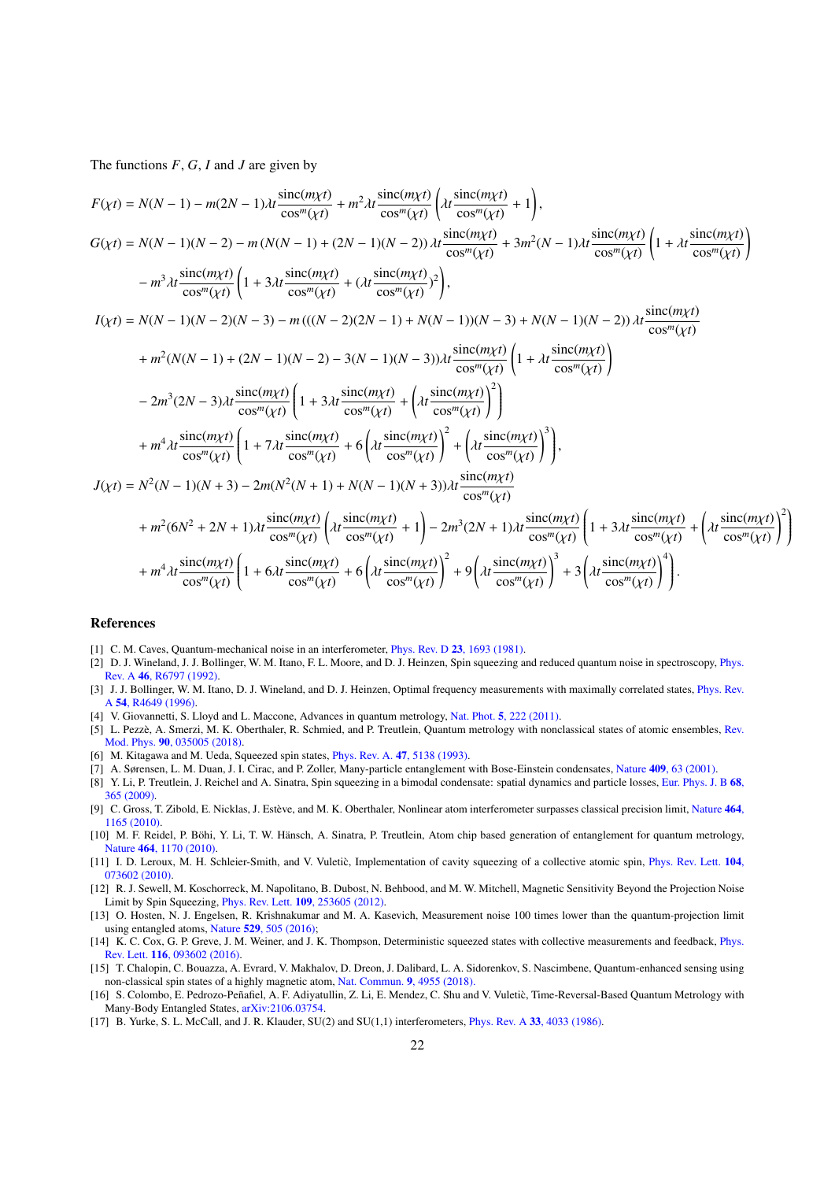The functions *F*, *G*, *I* and *J* are given by

$$
F(\chi t) = N(N - 1) - m(2N - 1)\lambda t \frac{\sin((m\chi t)}{\cos^{m}(\chi t)} + m^{2}\lambda t \frac{\sin((m\chi t)}{\cos^{m}(\chi t)} \left( \lambda t \frac{\sin((m\chi t)}{\cos^{m}(\chi t)} + 1 \right),
$$
  
\n
$$
G(\chi t) = N(N - 1)(N - 2) - m(N(N - 1) + (2N - 1)(N - 2))\lambda t \frac{\sin((m\chi t)}{\cos^{m}(\chi t)} + 3m^{2}(N - 1)\lambda t \frac{\sin((m\chi t)}{\cos^{m}(\chi t)} \left( 1 + \lambda t \frac{\sin((m\chi t)}{\cos^{m}(\chi t)} \right)
$$
  
\n
$$
- m^{3}\lambda t \frac{\sin((m\chi t)}{\cos^{m}(\chi t)} \left( 1 + 3\lambda t \frac{\sin((m\chi t)}{\cos^{m}(\chi t)} + (\lambda t \frac{\sin((m\chi t)}{\cos^{m}(\chi t)})^{2} \right),
$$
  
\n
$$
I(\chi t) = N(N - 1)(N - 2)(N - 3) - m(((N - 2)(2N - 1) + N(N - 1))(N - 3) + N(N - 1)(N - 2))\lambda t \frac{\sin((m\chi t)}{\cos^{m}(\chi t)} + m^{2}(N(N - 1) + (2N - 1)(N - 2) - 3(N - 1)(N - 3))\lambda t \frac{\sin((m\chi t)}{\cos^{m}(\chi t)} \left( 1 + \lambda t \frac{\sin((m\chi t)}{\cos^{m}(\chi t)} \right)
$$
  
\n
$$
- 2m^{3}(2N - 3)\lambda t \frac{\sin((m\chi t)}{\cos^{m}(\chi t)} \left( 1 + 3\lambda t \frac{\sin((m\chi t)}{\cos^{m}(\chi t)} + \left( \lambda t \frac{\sin((m\chi t)}{\cos^{m}(\chi t)} \right)^{2} \right)
$$
  
\n
$$
+ m^{4}\lambda t \frac{\sin((m\chi t)}{\cos^{m}(\chi t)} \left( 1 + 7\lambda t \frac{\sin((m\chi t)}{\cos^{m}(\chi t)} + 6\left( \lambda t \frac{\sin((m\chi t)}{\cos^{m}(\chi t)} \right)^{2} + \left( \lambda t \frac{\sin((m\chi t)}{\cos^{m}(\chi t)} \right)^{3} \
$$

$$
+ m^4 \lambda t \frac{\operatorname{sinc}(m\chi t)}{\cos^m(\chi t)} \left( 1 + 6 \lambda t \frac{\operatorname{sinc}(m\chi t)}{\cos^m(\chi t)} + 6 \left( \lambda t \frac{\operatorname{sinc}(m\chi t)}{\cos^m(\chi t)} \right)^2 + 9 \left( \lambda t \frac{\operatorname{sinc}(m\chi t)}{\cos^m(\chi t)} \right)^3 + 3 \left( \lambda t \frac{\operatorname{sinc}(m\chi t)}{\cos^m(\chi t)} \right)^4 \right).
$$

 $\lambda$  $\begin{array}{c} \hline \end{array}$ 

## References

- <span id="page-21-0"></span>[1] C. M. Caves, Quantum-mechanical noise in an interferometer, *Phys. Rev. D* 23[, 1693 \(1981\).](https://doi.org/10.1103/PhysRevD.23.1693)
- <span id="page-21-1"></span>[2] D. J. Wineland, J. J. Bollinger, W. M. Itano, F. L. Moore, and D. J. Heinzen, Spin squeezing and reduced quantum noise in spectroscopy, [Phys.](https://doi.org/10.1103/PhysRevA.46.R6797) Rev. A 46[, R6797 \(1992\).](https://doi.org/10.1103/PhysRevA.46.R6797)
- <span id="page-21-2"></span>[3] J. J. Bollinger, W. M. Itano, D. J. Wineland, and D. J. Heinzen, Optimal frequency measurements with maximally correlated states, [Phys. Rev.](https://doi.org/10.1103/PhysRevA.54.R4649) A 54[, R4649 \(1996\).](https://doi.org/10.1103/PhysRevA.54.R4649)
- <span id="page-21-3"></span>[4] V. Giovannetti, S. Lloyd and L. Maccone, Advances in quantum metrology, Nat. Phot. 5[, 222 \(2011\).](https://doi.org/10.1038/nphoton.2011.35)
- <span id="page-21-4"></span>[5] L. Pezzè, A. Smerzi, M. K. Oberthaler, R. Schmied, and P. Treutlein, Quantum metrology with nonclassical states of atomic ensembles, [Rev.](https://doi.org/10.1103/RevModPhys.90.035005) Mod. Phys. 90[, 035005 \(2018\).](https://doi.org/10.1103/RevModPhys.90.035005)
- <span id="page-21-5"></span>[6] M. Kitagawa and M. Ueda, Squeezed spin states, *Phys. Rev. A.* 47[, 5138 \(1993\).](https://doi.org/10.1103/PhysRevA.47.5138)
- <span id="page-21-6"></span>[7] A. Sørensen, L. M. Duan, J. I. Cirac, and P. Zoller, Many-particle entanglement with Bose-Einstein condensates, Nature 409[, 63 \(2001\).](http://dx.doi.org/10.1038/35051038)
- <span id="page-21-7"></span>[8] Y. Li, P. Treutlein, J. Reichel and A. Sinatra, Spin squeezing in a bimodal condensate: spatial dynamics and particle losses, [Eur. Phys. J. B](https://doi.org/10.1140/epjb/e2008-00472-6) 68, [365 \(2009\).](https://doi.org/10.1140/epjb/e2008-00472-6)
- <span id="page-21-8"></span>[9] C. Gross, T. Zibold, E. Nicklas, J. Estève, and M. K. Oberthaler, Nonlinear atom interferometer surpasses classical precision limit, [Nature](https://doi.org/10.1038/nature08919) 464, [1165 \(2010\).](https://doi.org/10.1038/nature08919)
- <span id="page-21-9"></span>[10] M. F. Reidel, P. Böhi, Y. Li, T. W. Hänsch, A. Sinatra, P. Treutlein, Atom chip based generation of entanglement for quantum metrology, Nature 464[, 1170 \(2010\).](https://doi.org/10.1038/nature08988)
- <span id="page-21-10"></span>[11] I. D. Leroux, M. H. Schleier-Smith, and V. Vuletic, Implementation of cavity squeezing of a collective atomic spin, [Phys. Rev. Lett.](https://doi.org/10.1103/PhysRevLett.104.073602) 104, [073602 \(2010\).](https://doi.org/10.1103/PhysRevLett.104.073602)
- <span id="page-21-11"></span>[12] R. J. Sewell, M. Koschorreck, M. Napolitano, B. Dubost, N. Behbood, and M. W. Mitchell, Magnetic Sensitivity Beyond the Projection Noise Limit by Spin Squeezing, Phys. Rev. Lett. 109[, 253605 \(2012\).](https://doi.org/10.1103/PhysRevLett.109.253605)
- <span id="page-21-12"></span>[13] O. Hosten, N. J. Engelsen, R. Krishnakumar and M. A. Kasevich, Measurement noise 100 times lower than the quantum-projection limit using entangled atoms, Nature 529[, 505 \(2016\);](https://doi.org/10.1038/nature16176)
- <span id="page-21-13"></span>[14] K. C. Cox, G. P. Greve, J. M. Weiner, and J. K. Thompson, Deterministic squeezed states with collective measurements and feedback, [Phys.](https://doi.org/10.1103/PhysRevLett.116.093602) Rev. Lett. 116[, 093602 \(2016\).](https://doi.org/10.1103/PhysRevLett.116.093602)
- <span id="page-21-14"></span>[15] T. Chalopin, C. Bouazza, A. Evrard, V. Makhalov, D. Dreon, J. Dalibard, L. A. Sidorenkov, S. Nascimbene, Quantum-enhanced sensing using non-classical spin states of a highly magnetic atom, [Nat. Commun.](https://www.nature.com/articles/s41467-018-07433-1) 9, 4955 (2018).
- <span id="page-21-15"></span>[16] S. Colombo, E. Pedrozo-Peñafiel, A. F. Adiyatullin, Z. Li, E. Mendez, C. Shu and V. Vuletic, Time-Reversal-Based Quantum Metrology with ` Many-Body Entangled States, [arXiv:2106.03754.](https://arxiv.org/abs/2106.03754)
- <span id="page-21-16"></span>[17] B. Yurke, S. L. McCall, and J. R. Klauder, SU(2) and SU(1,1) interferometers, Phys. Rev. A 33[, 4033 \(1986\).](https://doi.org/10.1103/PhysRevA.33.4033)